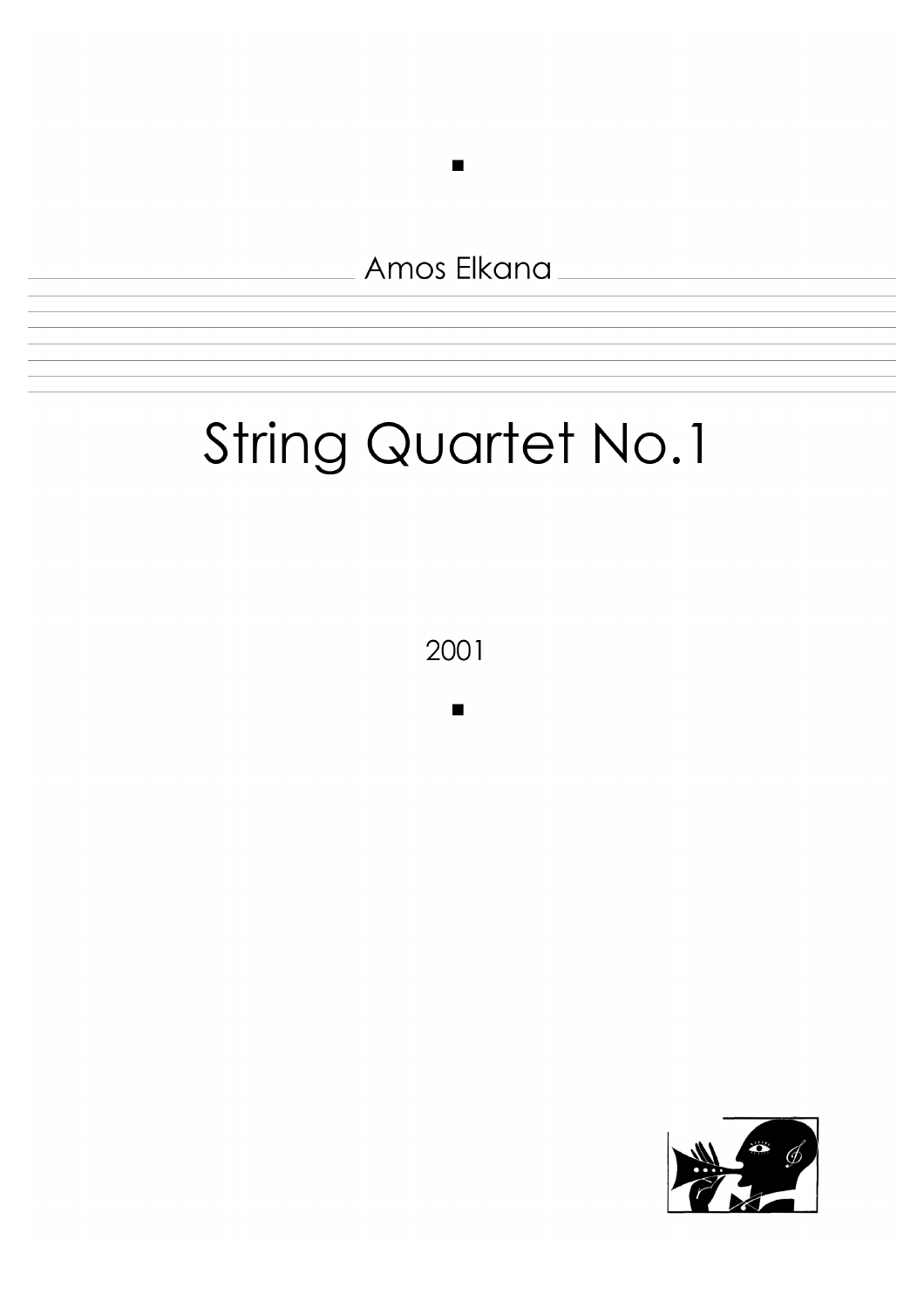

## String Quartet No.1

2001

 $\blacksquare$ 

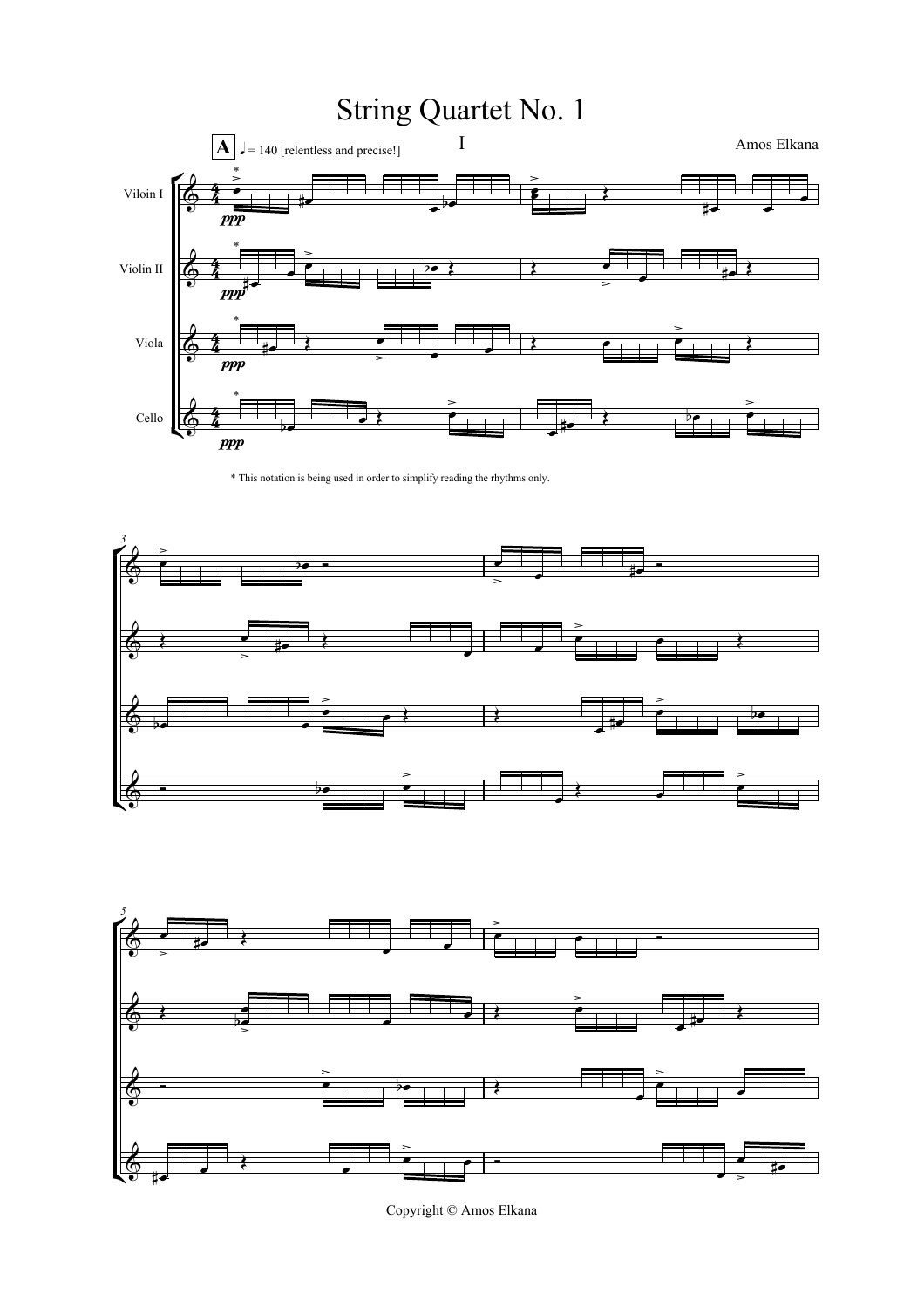

<sup>\*</sup> This notation is being used in order to simplify reading the rhythms only.





Copyright © Amos Elkana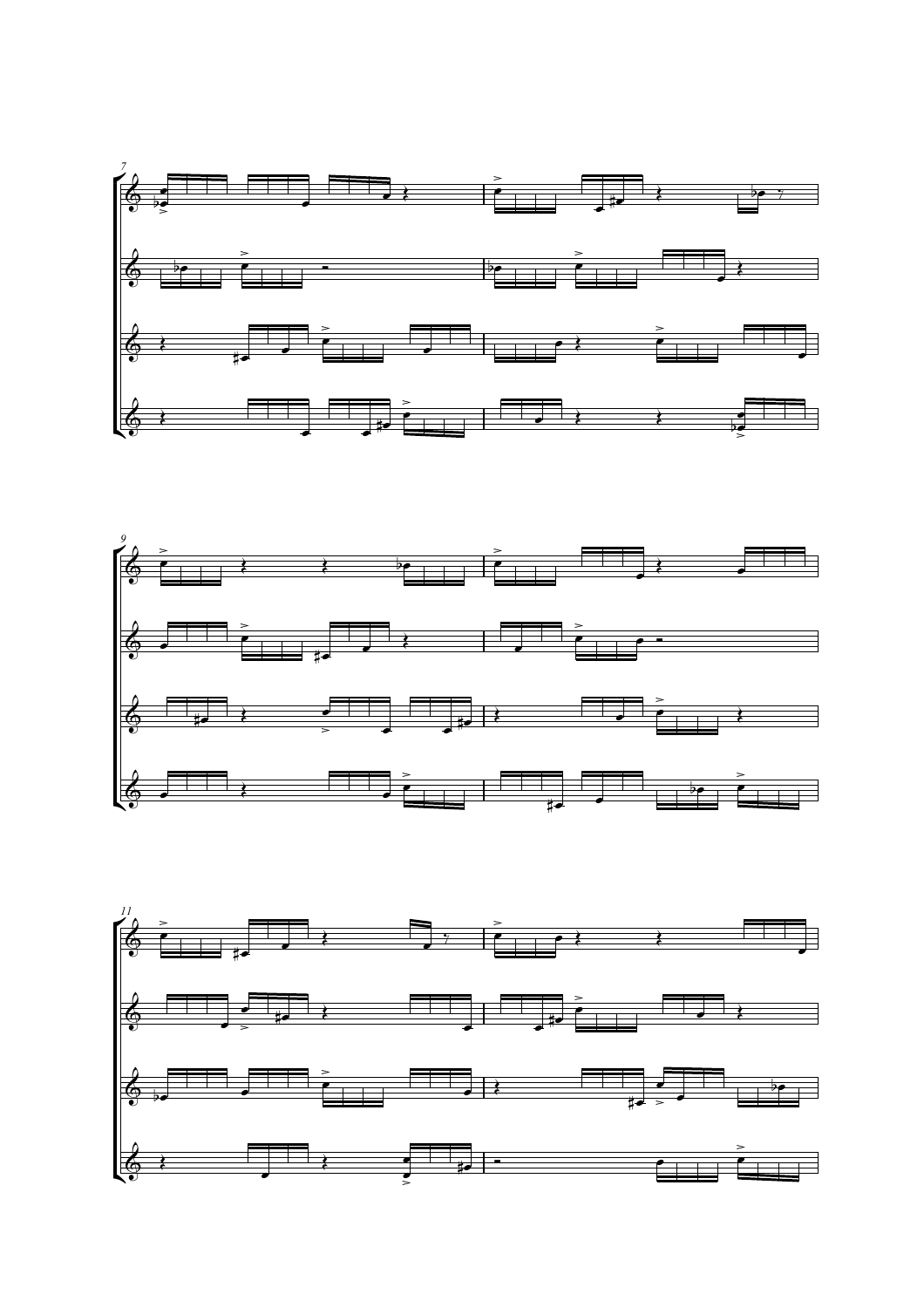



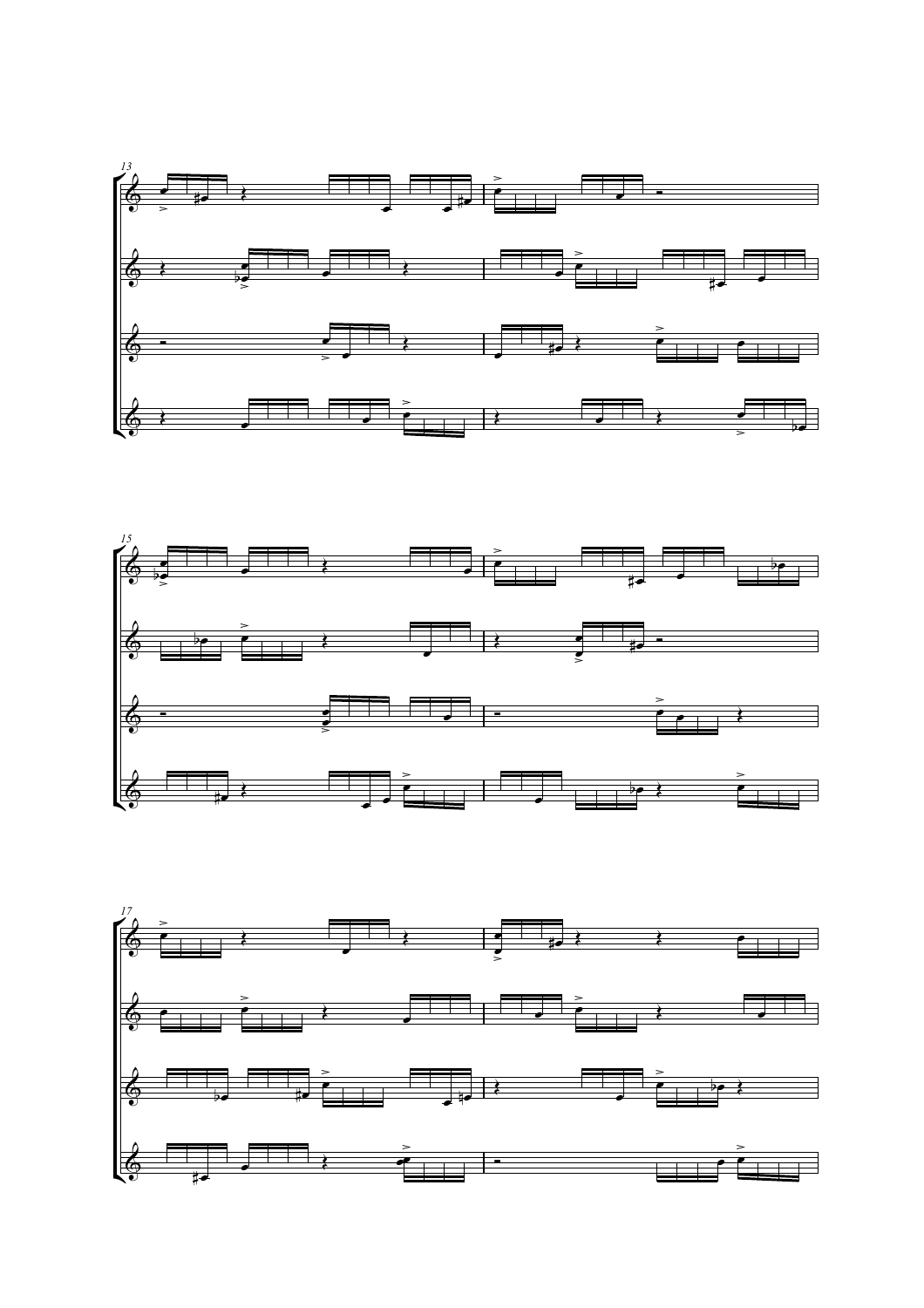



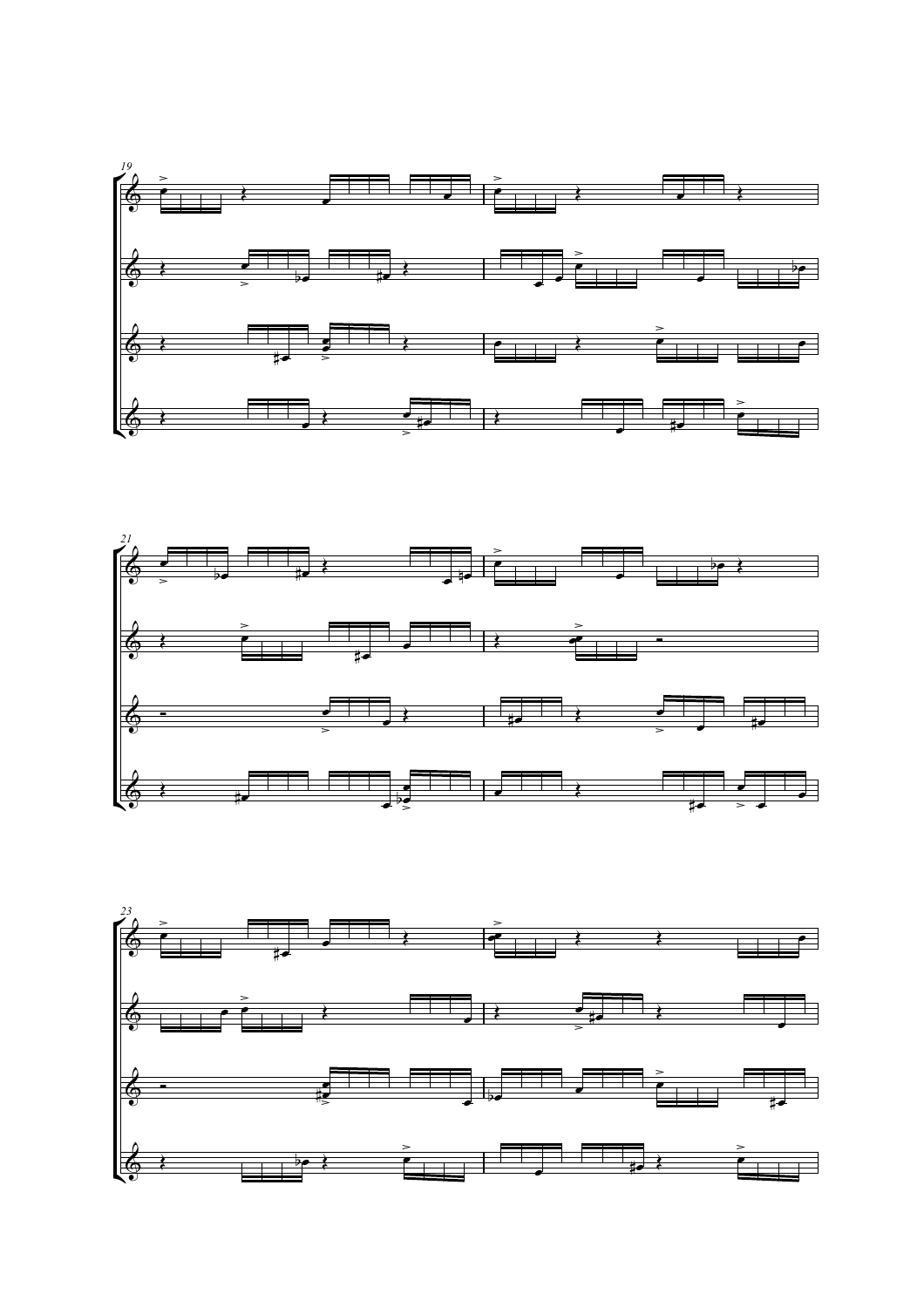



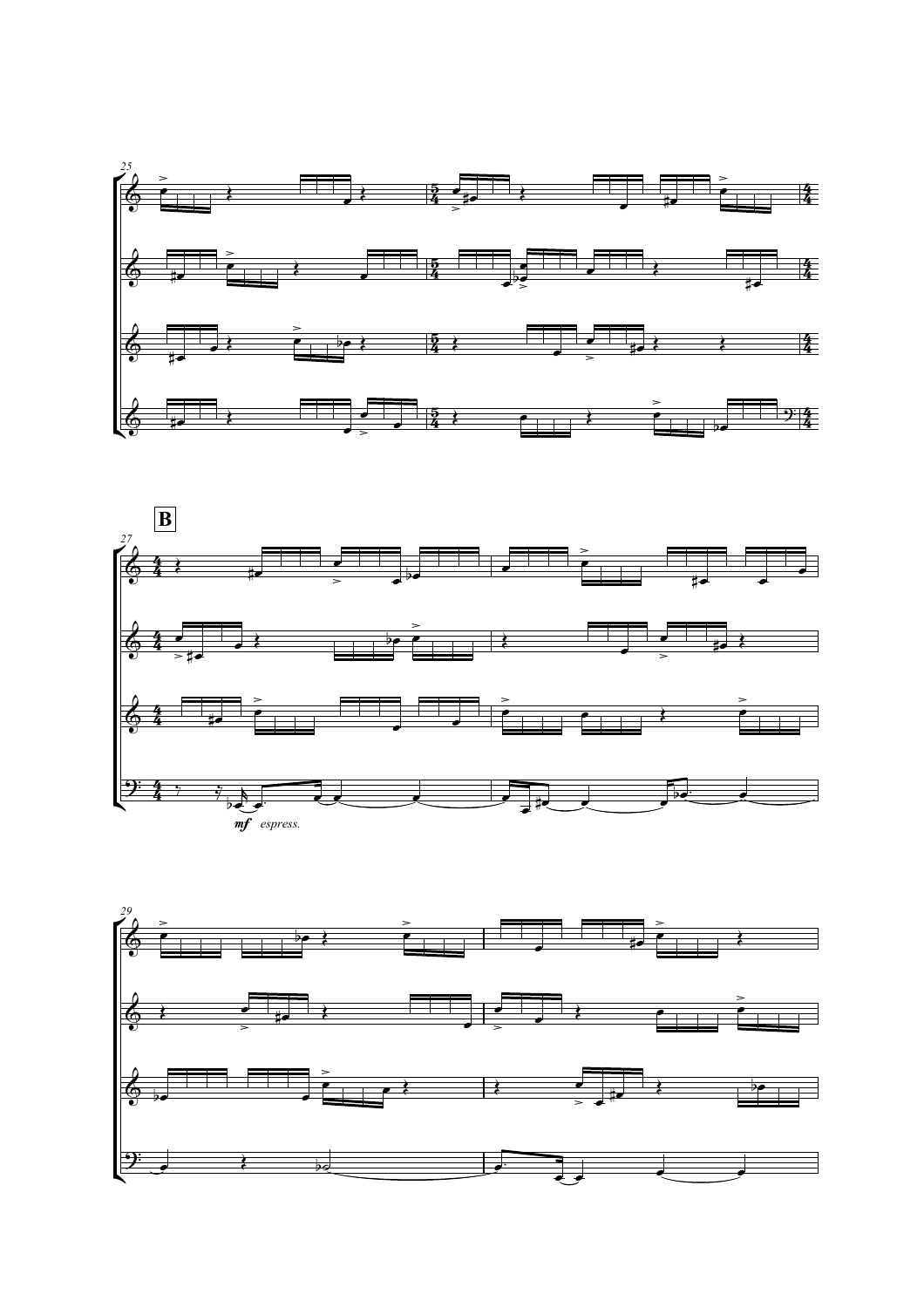



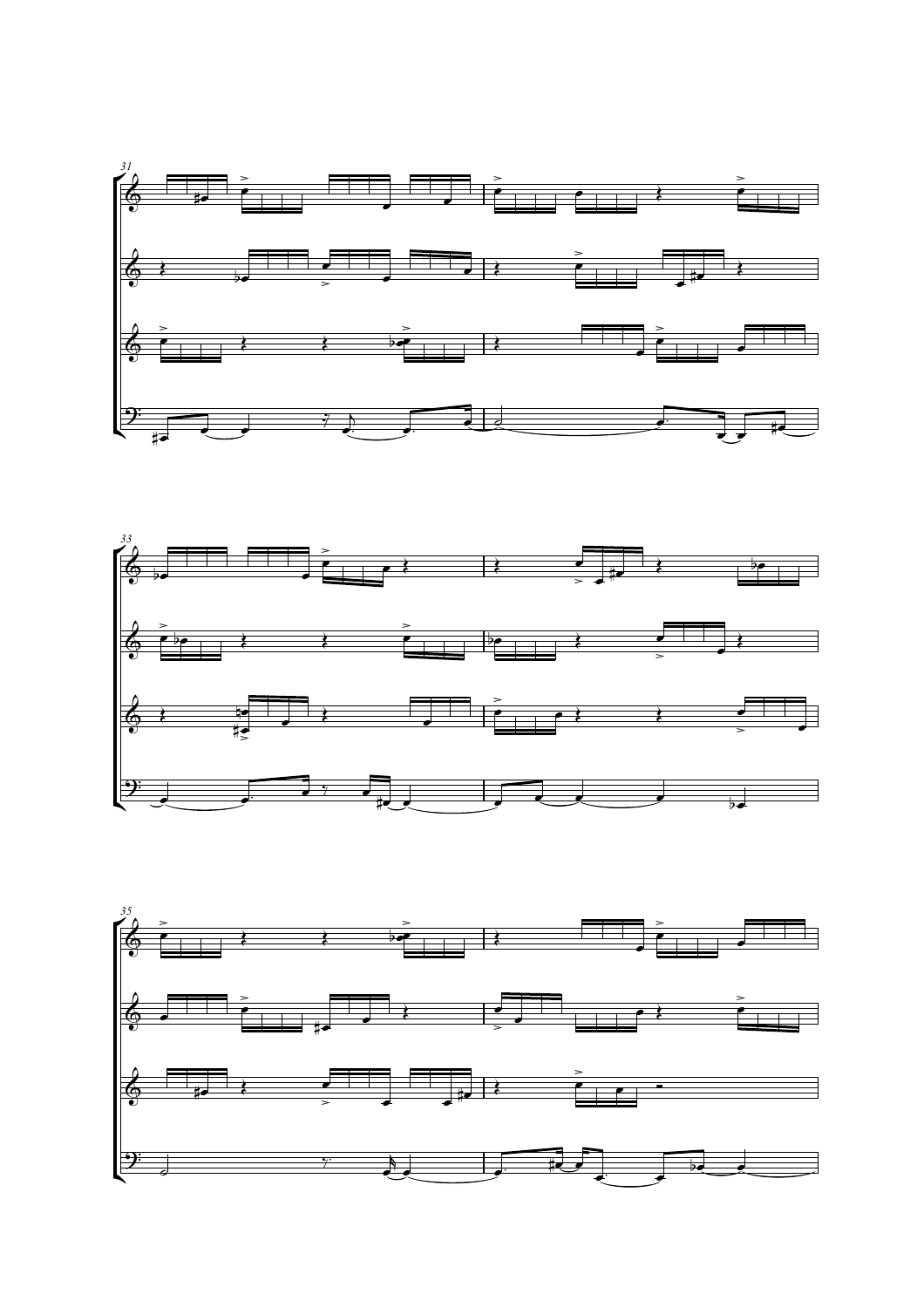



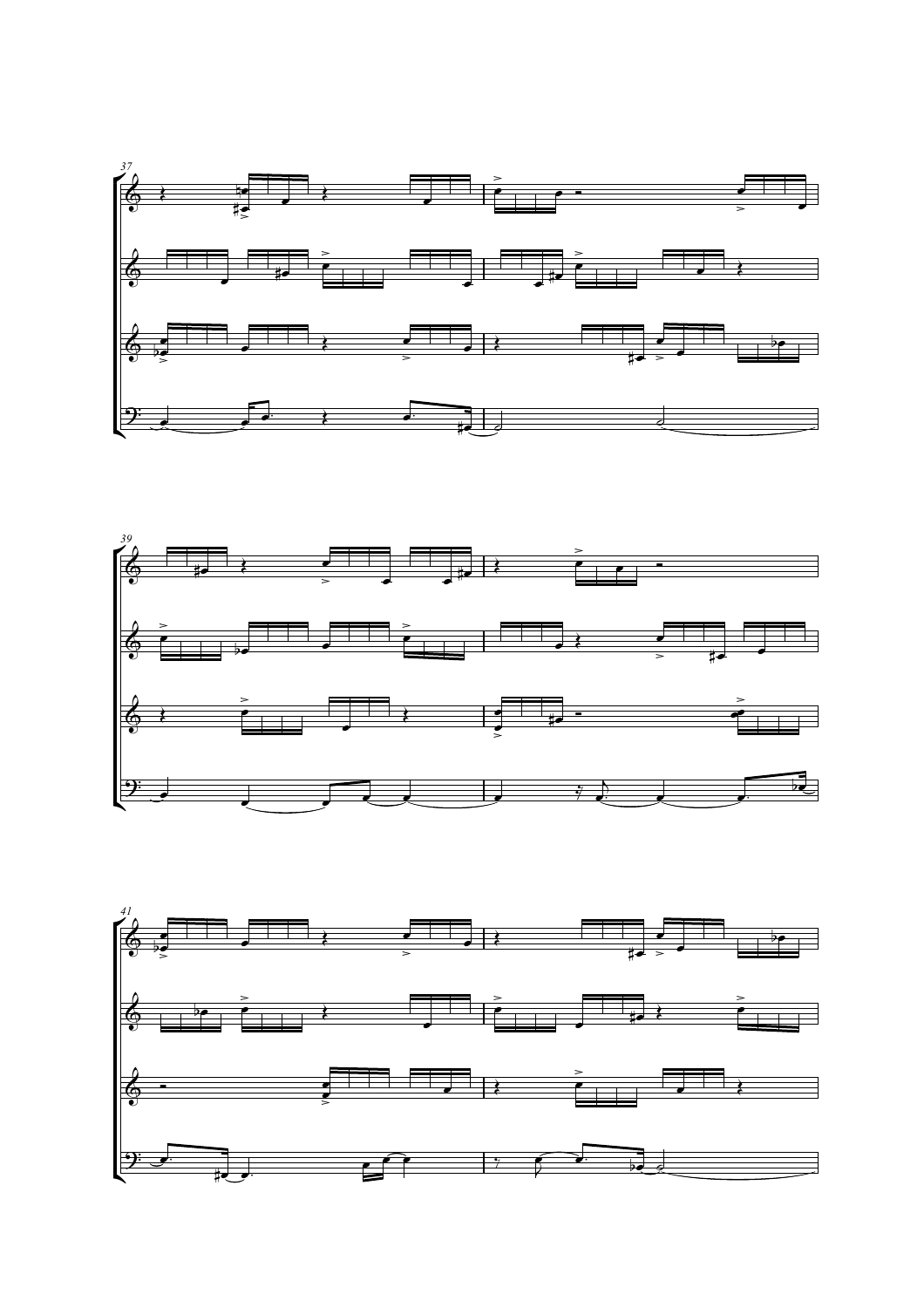



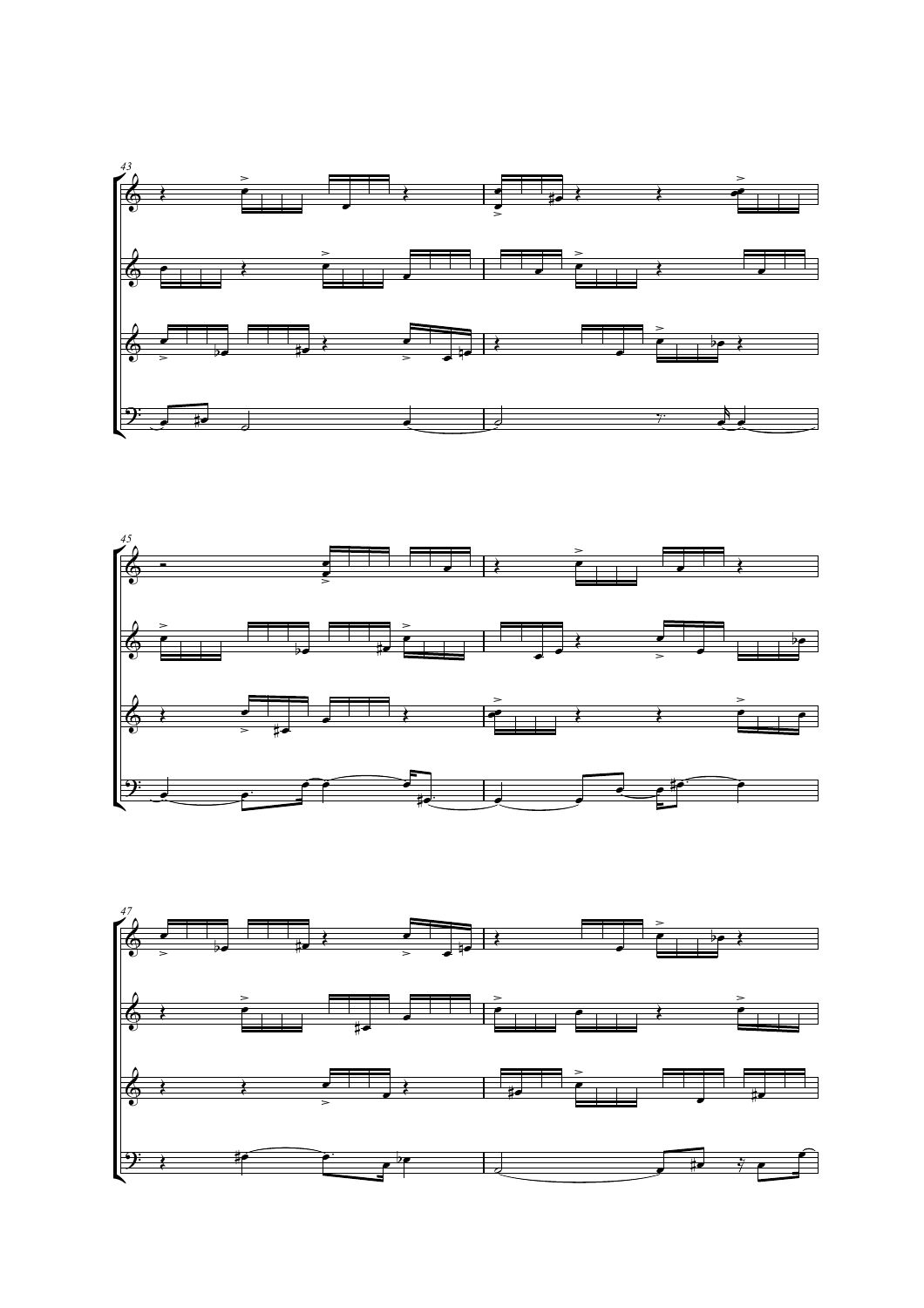



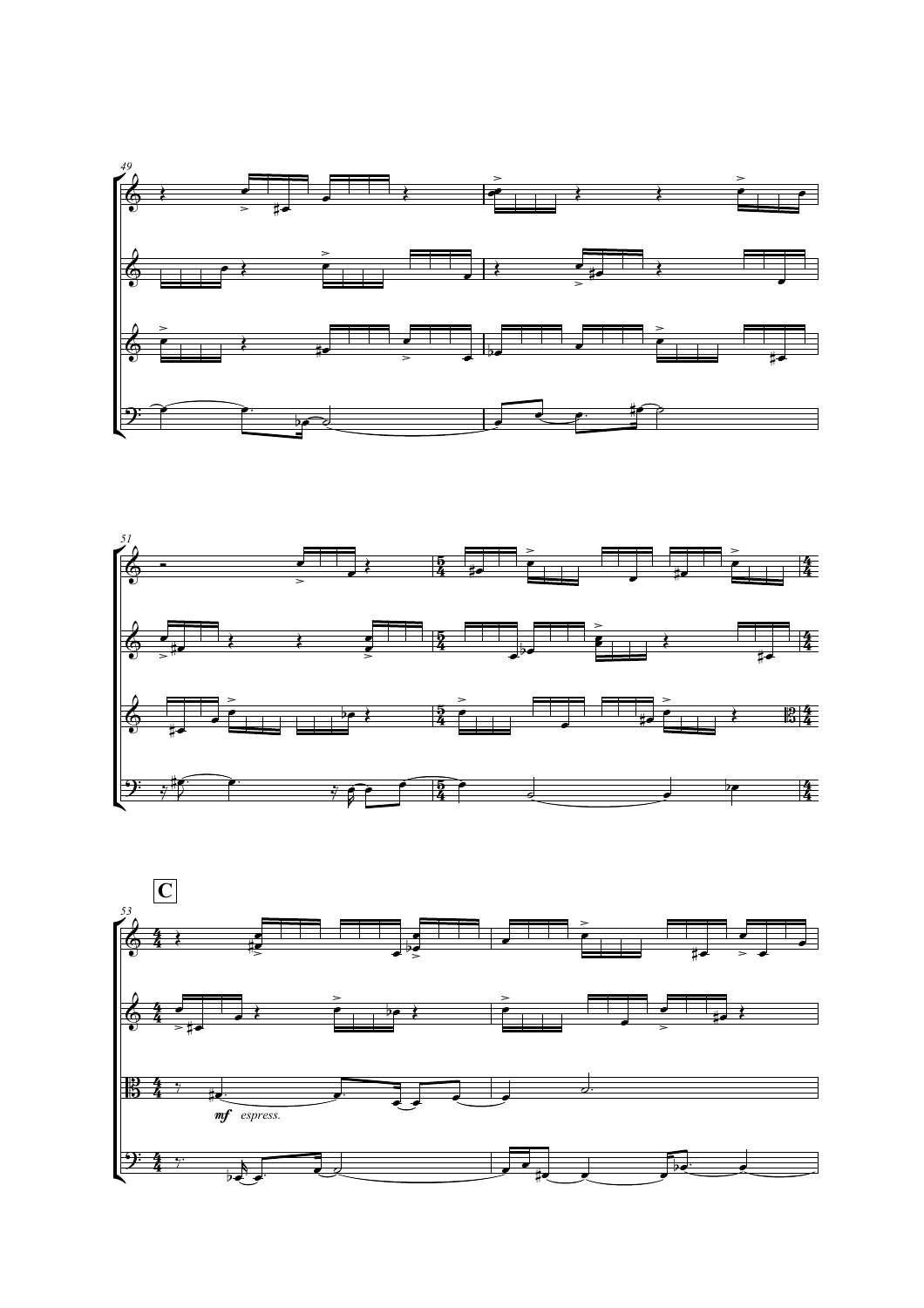



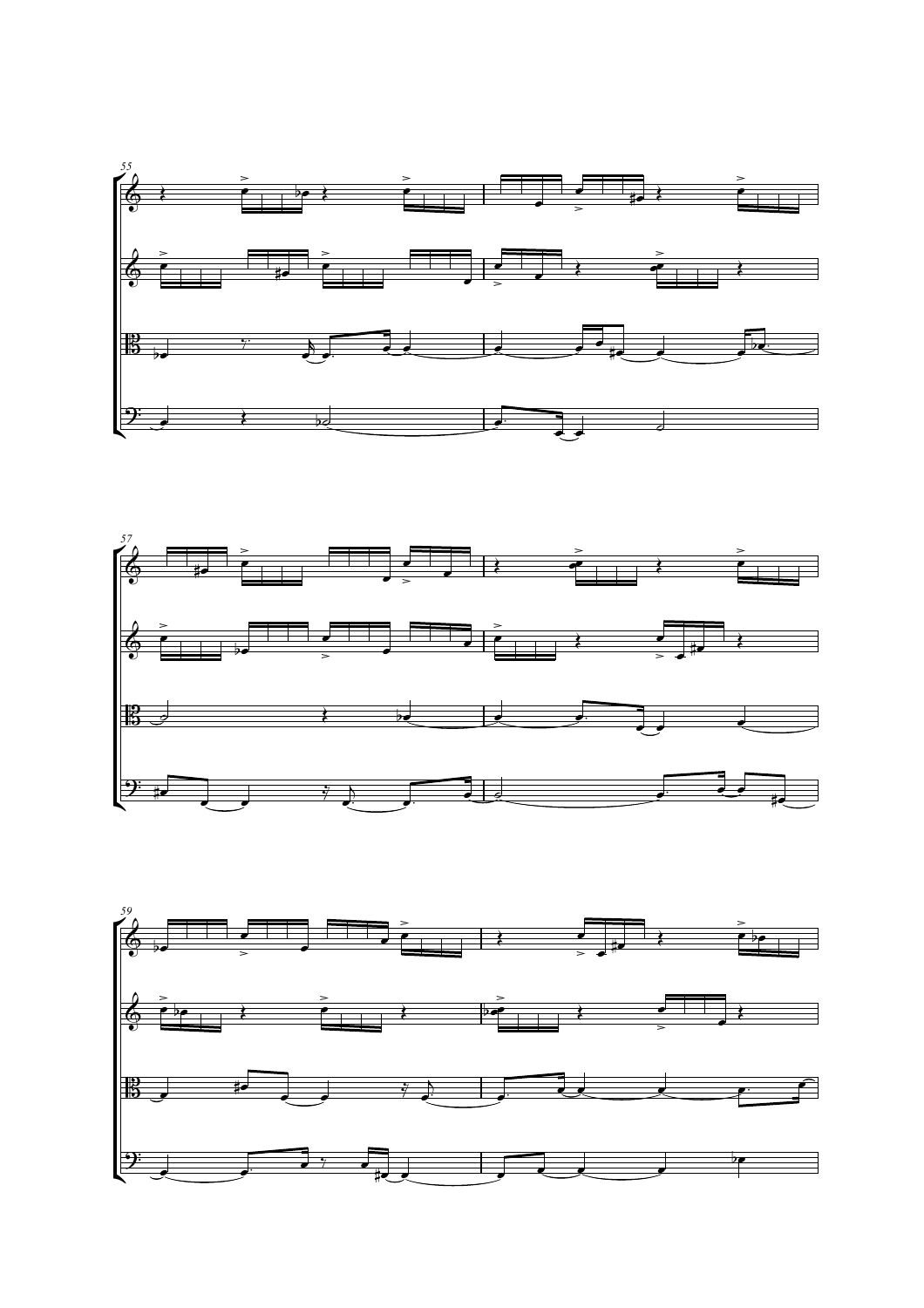



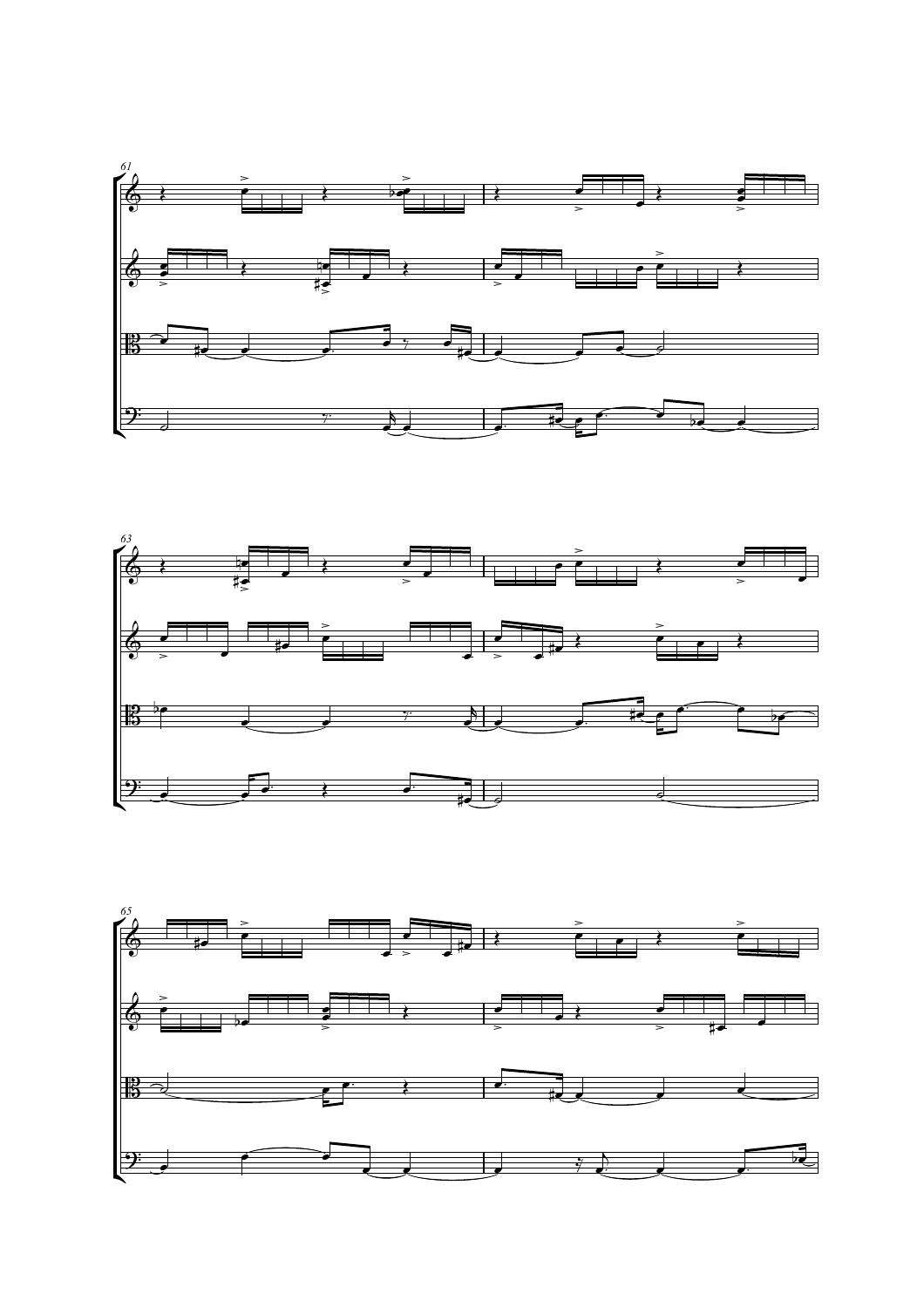



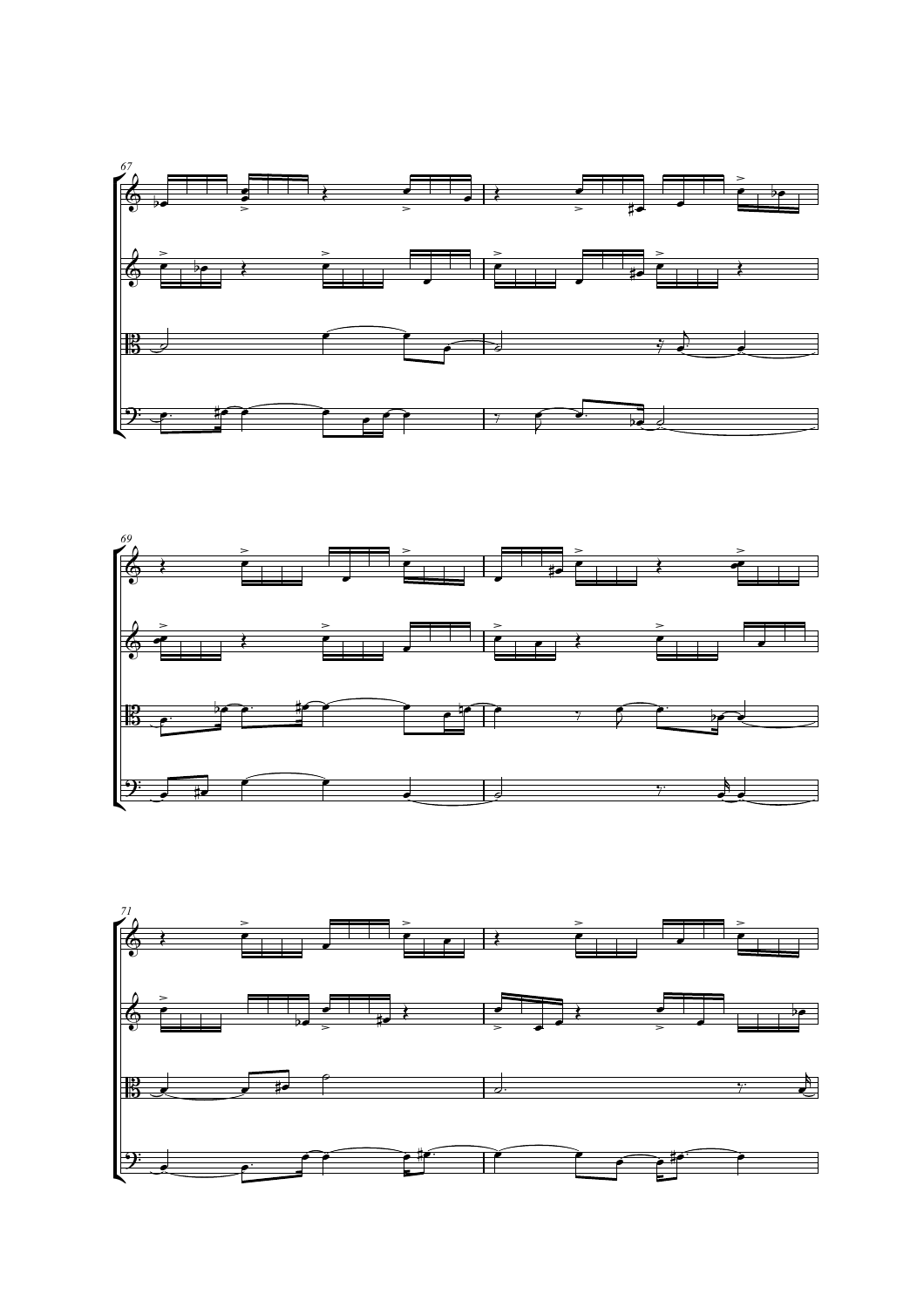



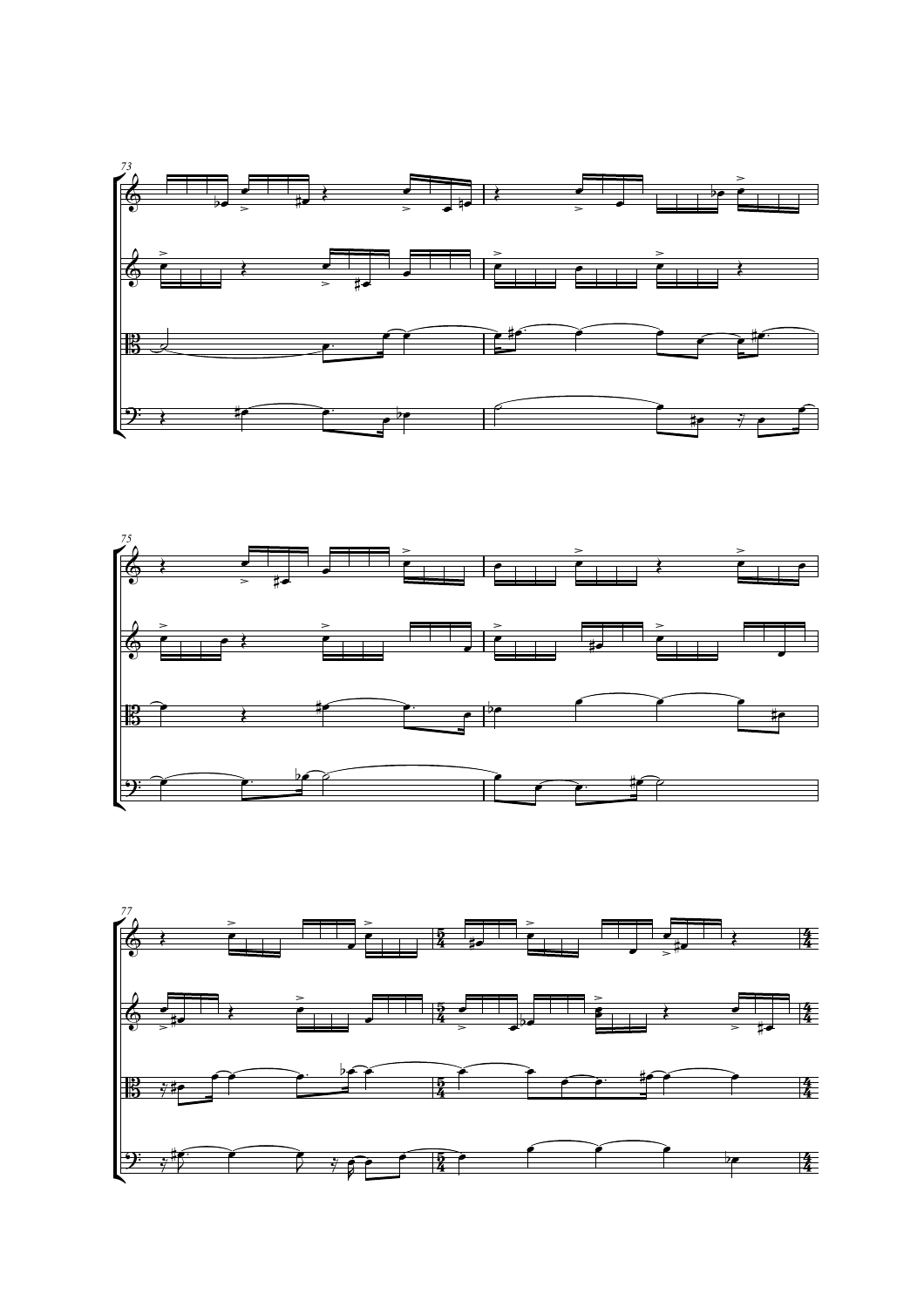



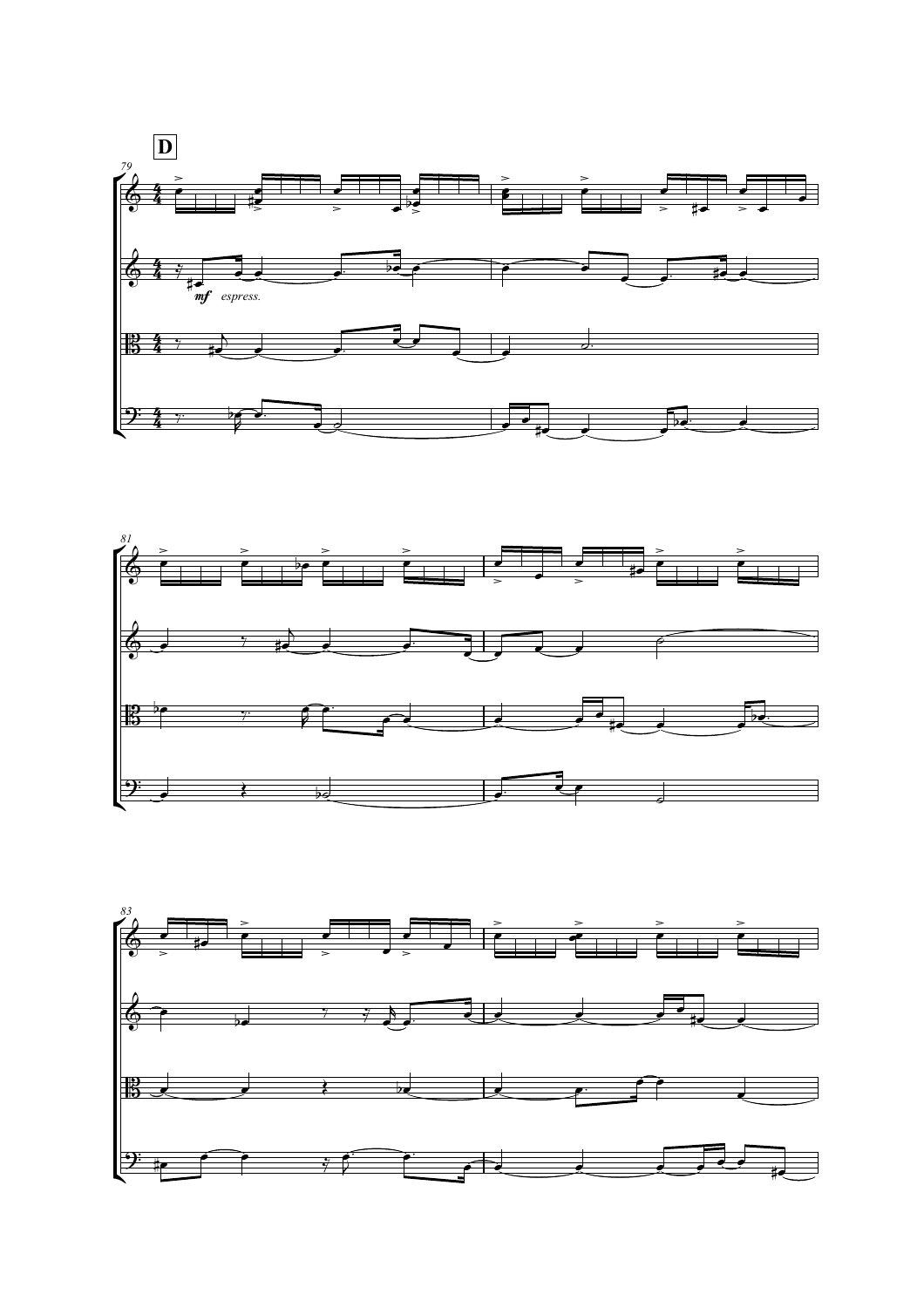



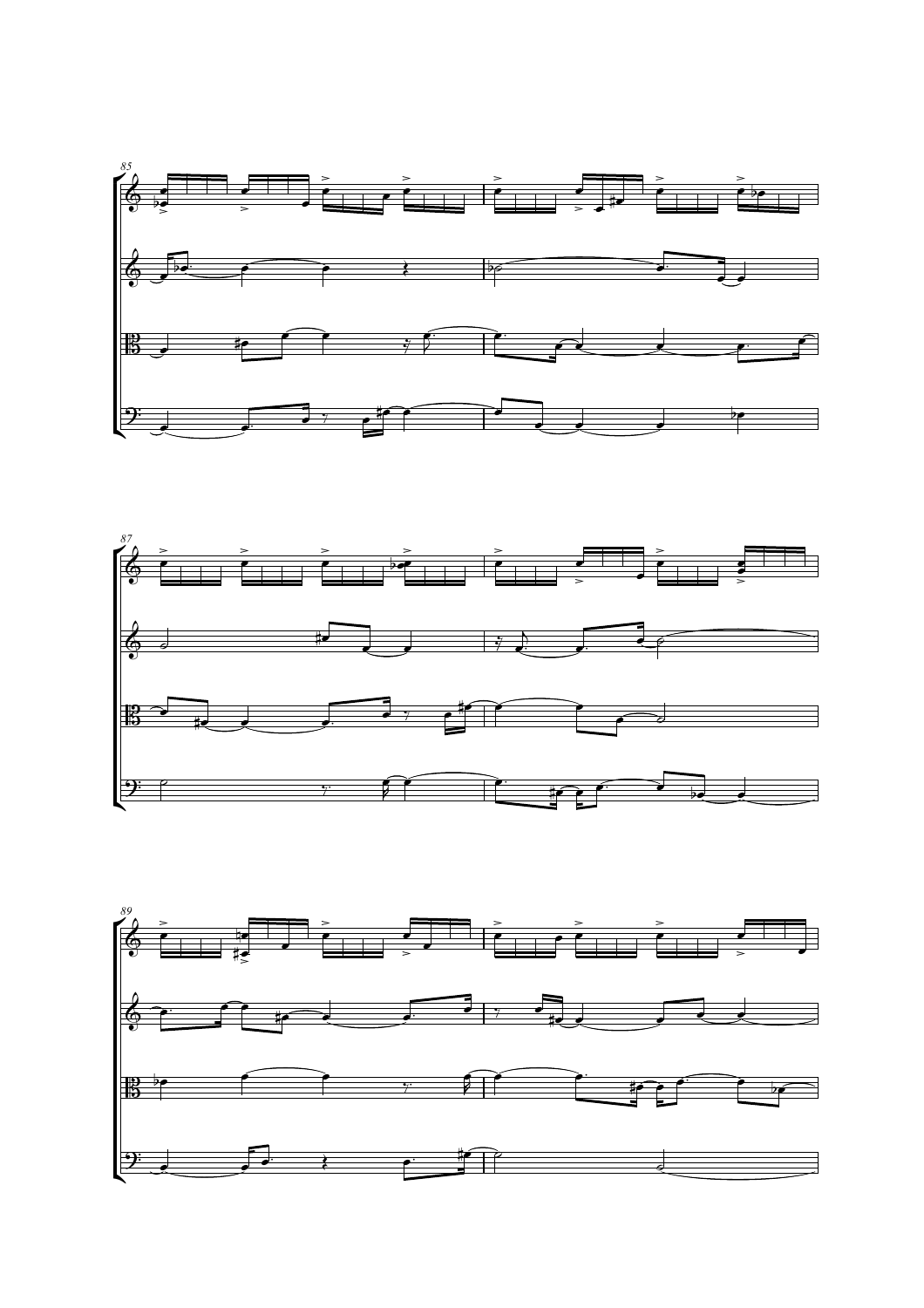



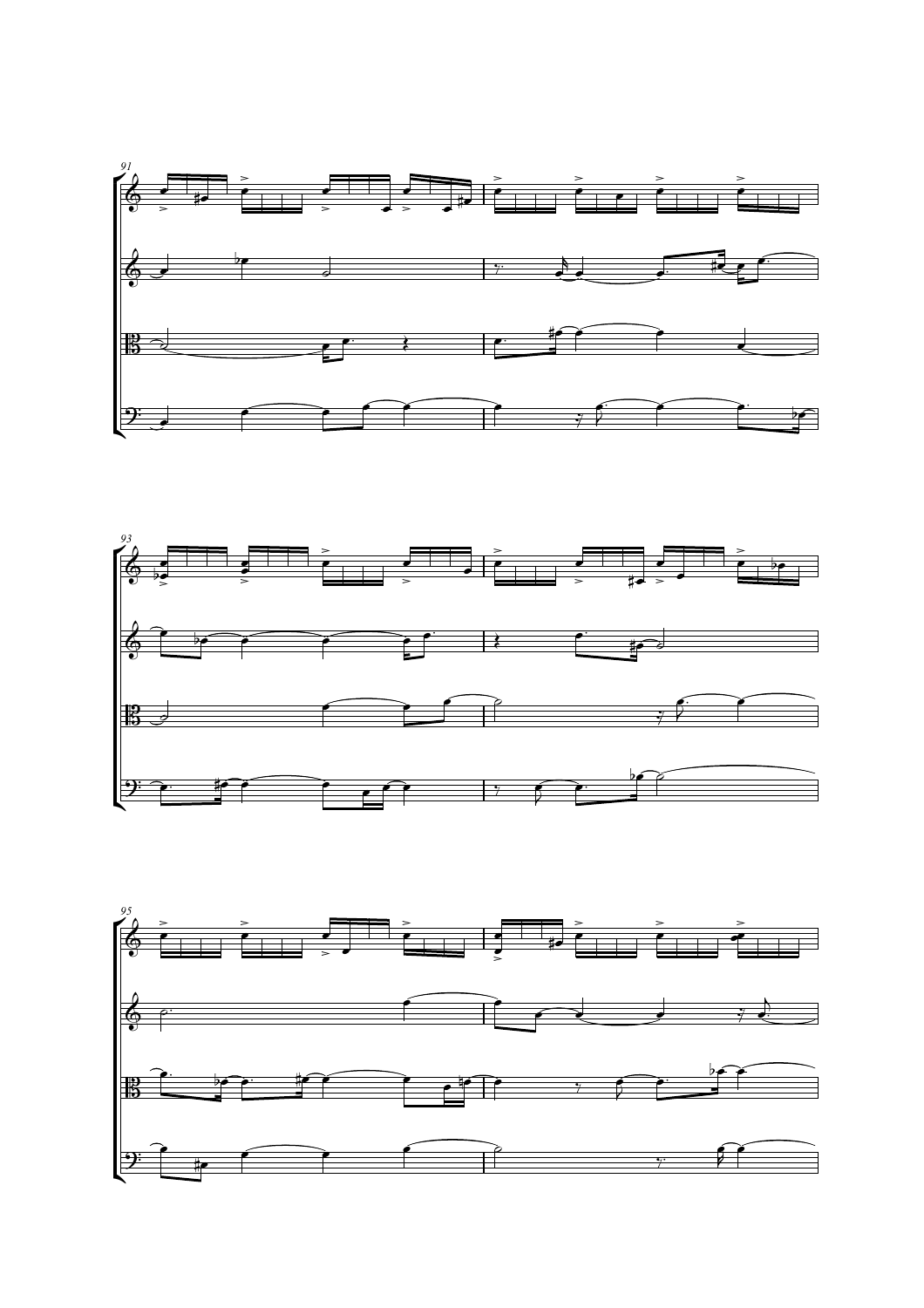



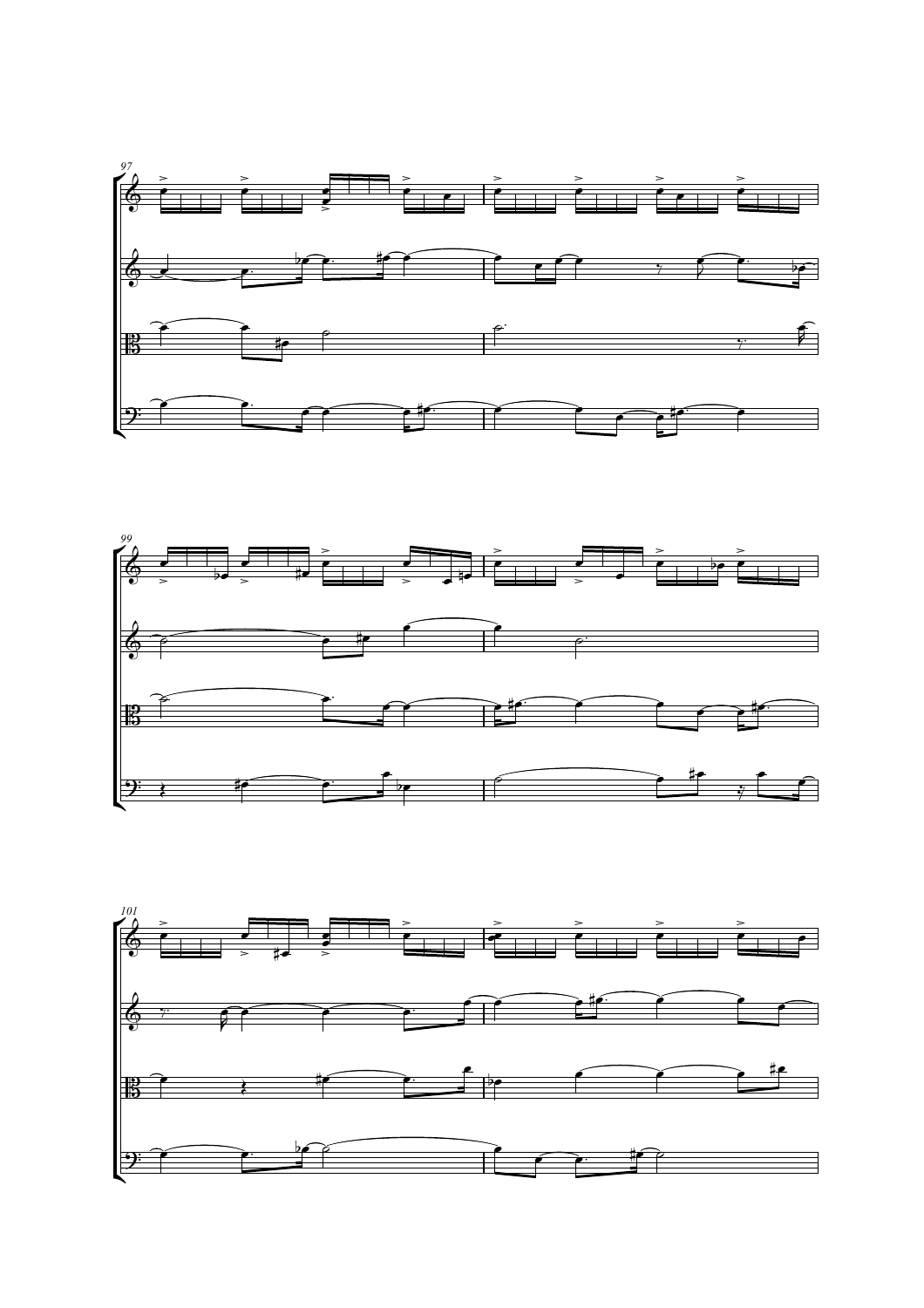



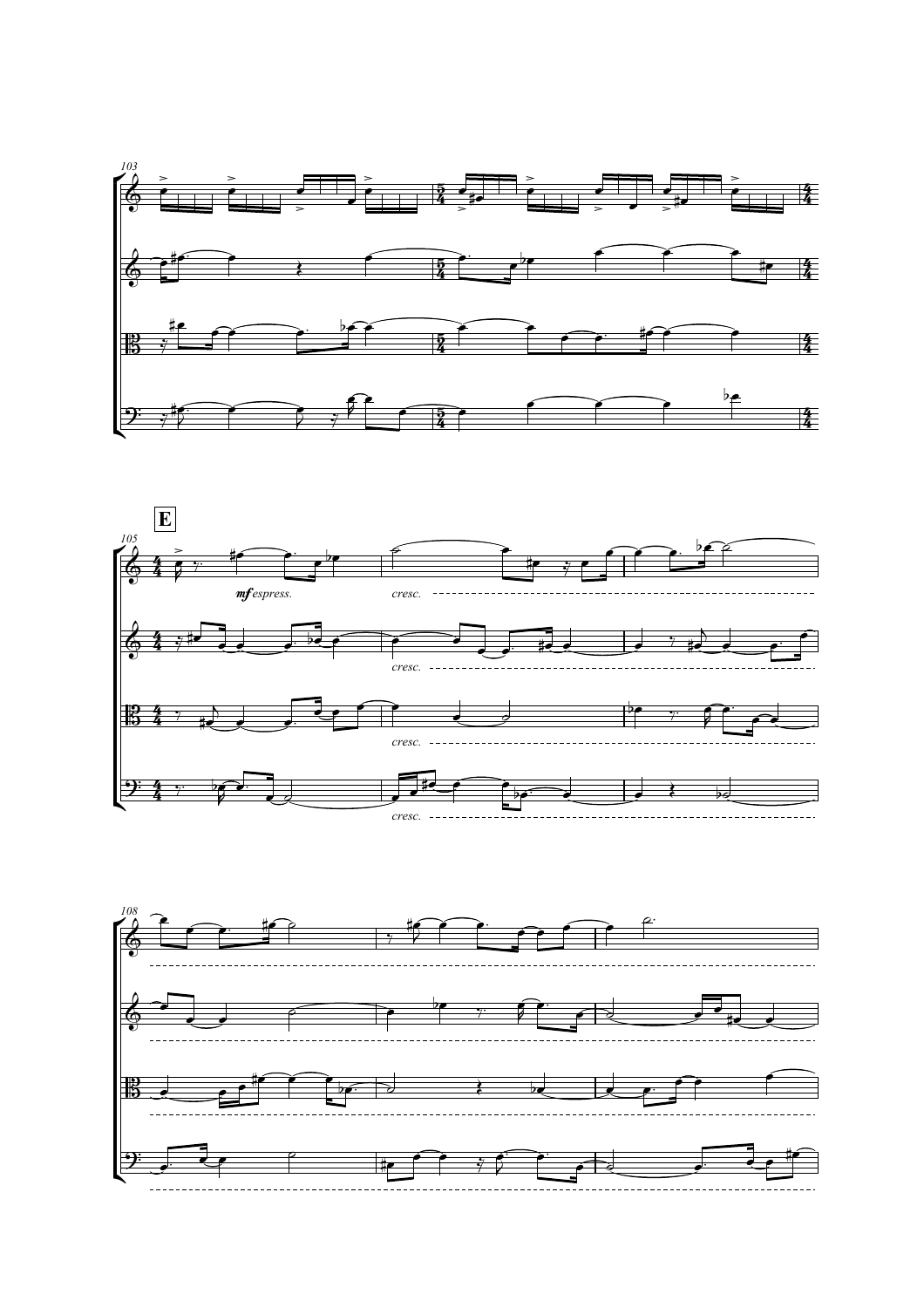



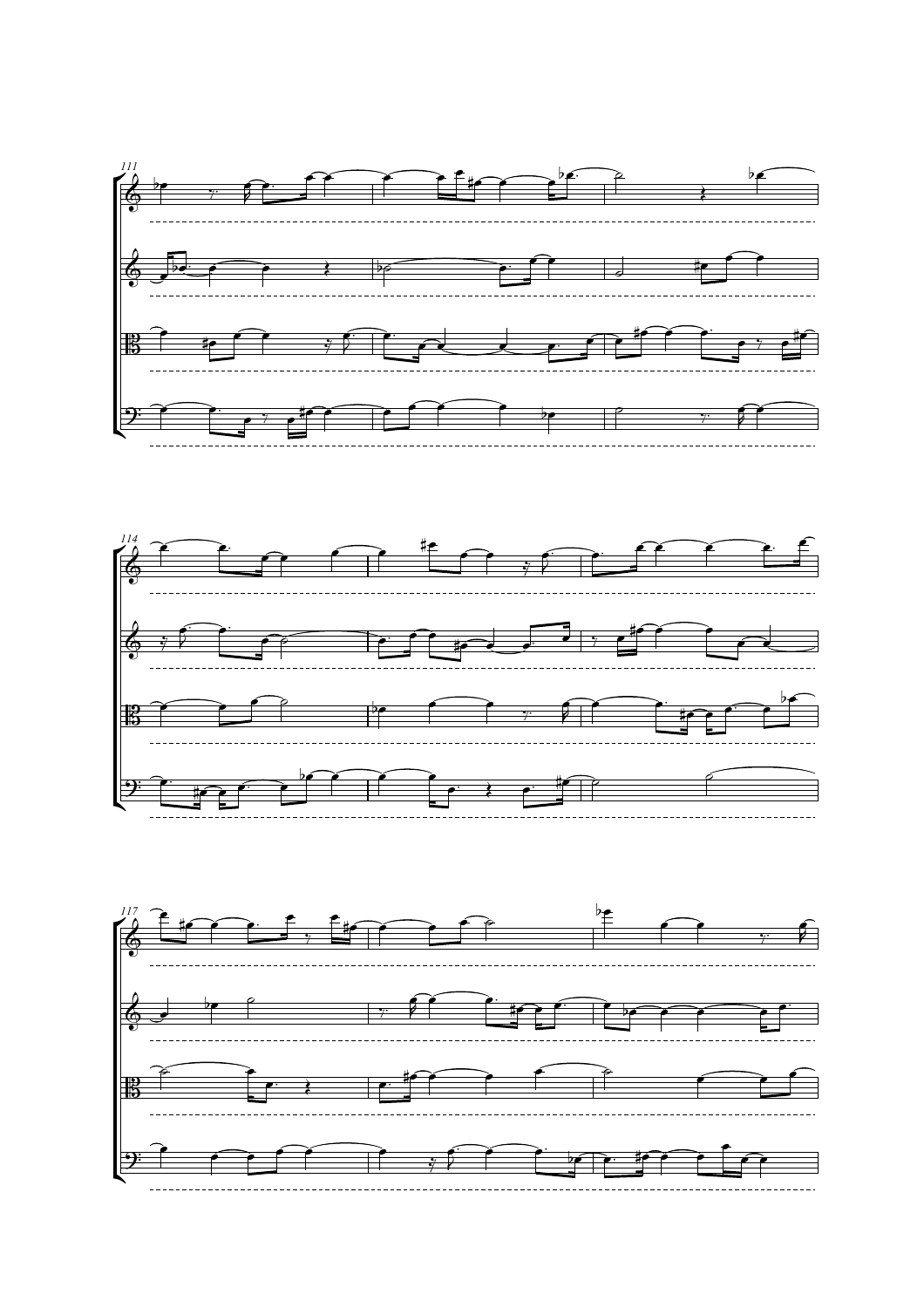



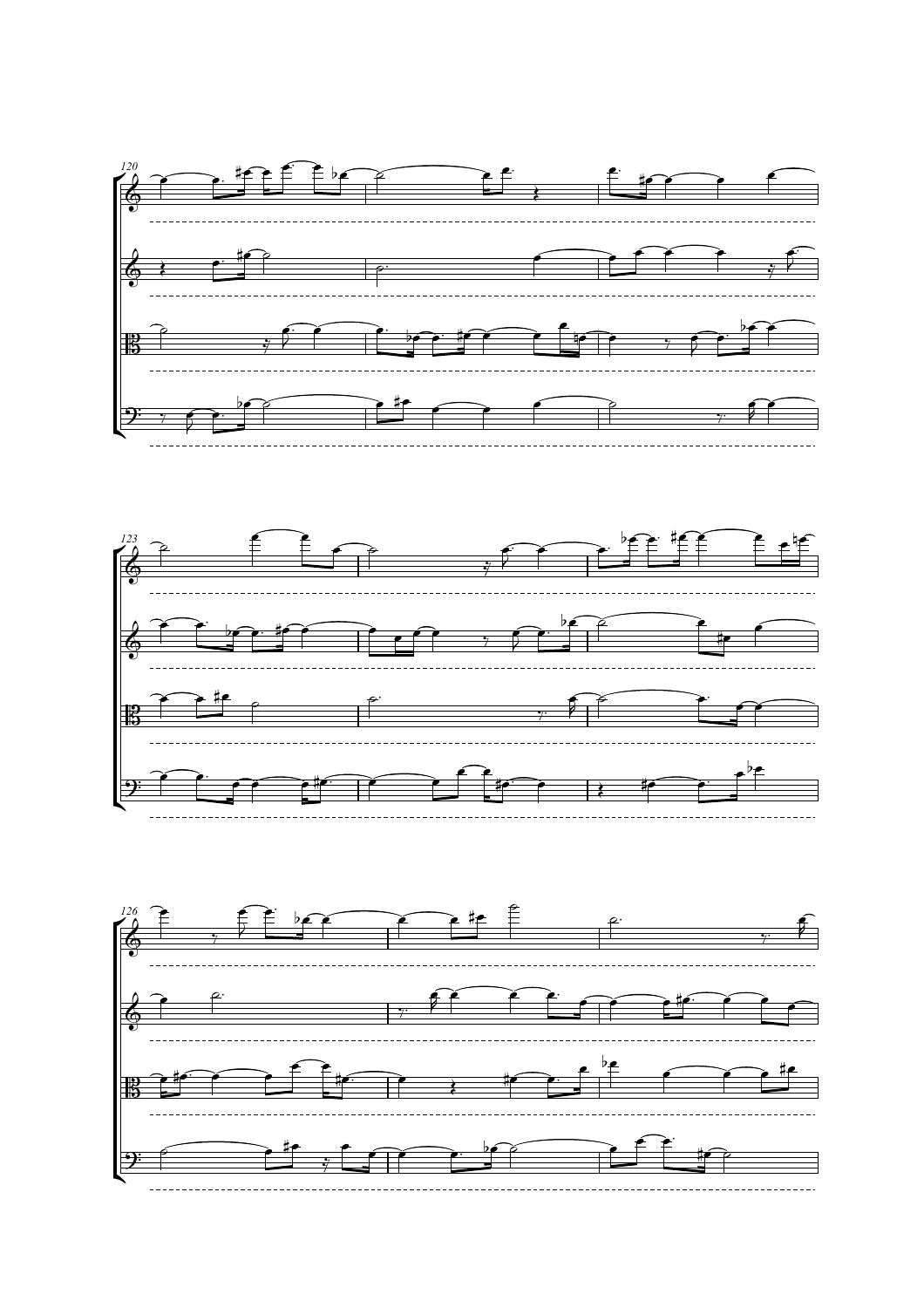



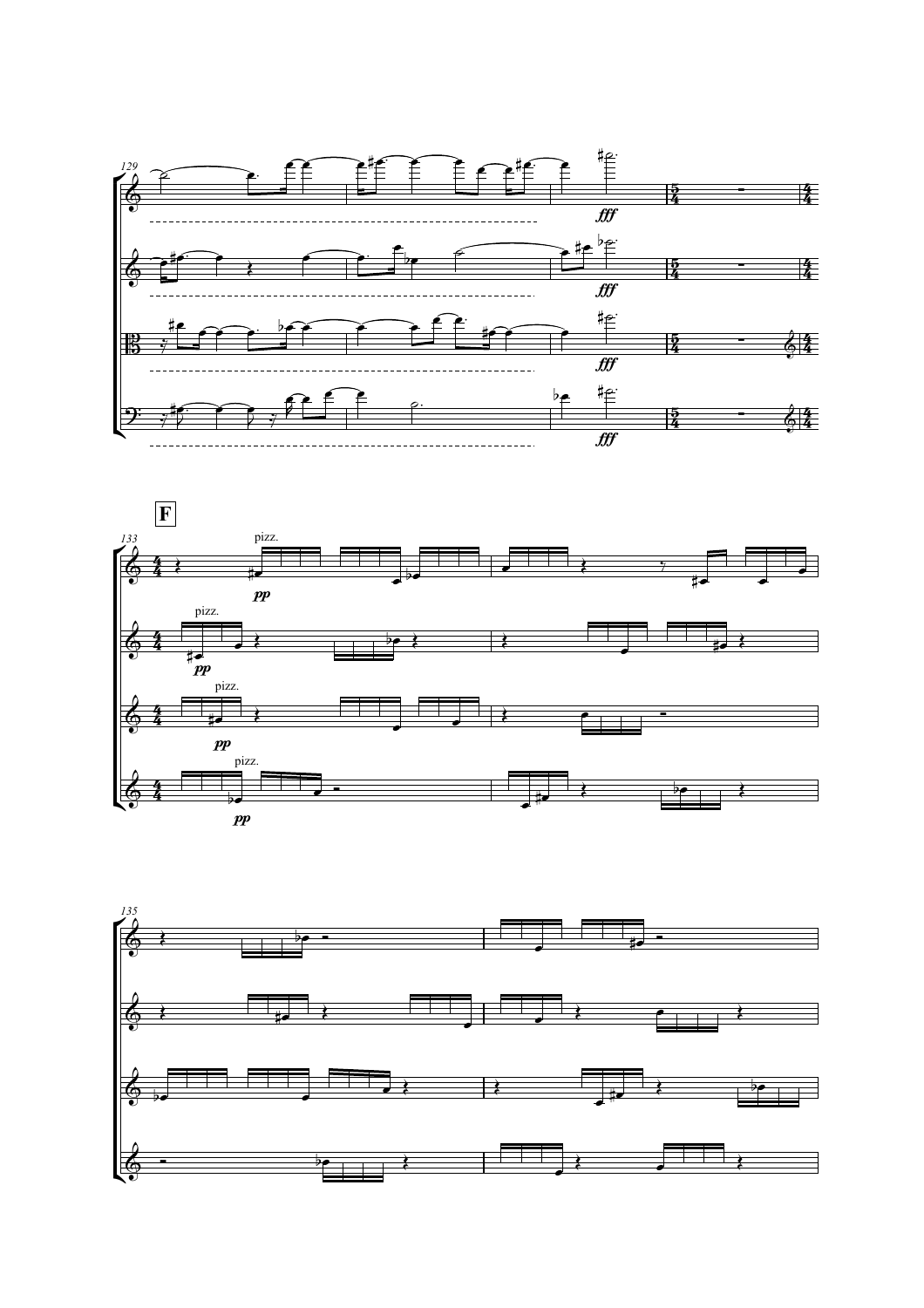



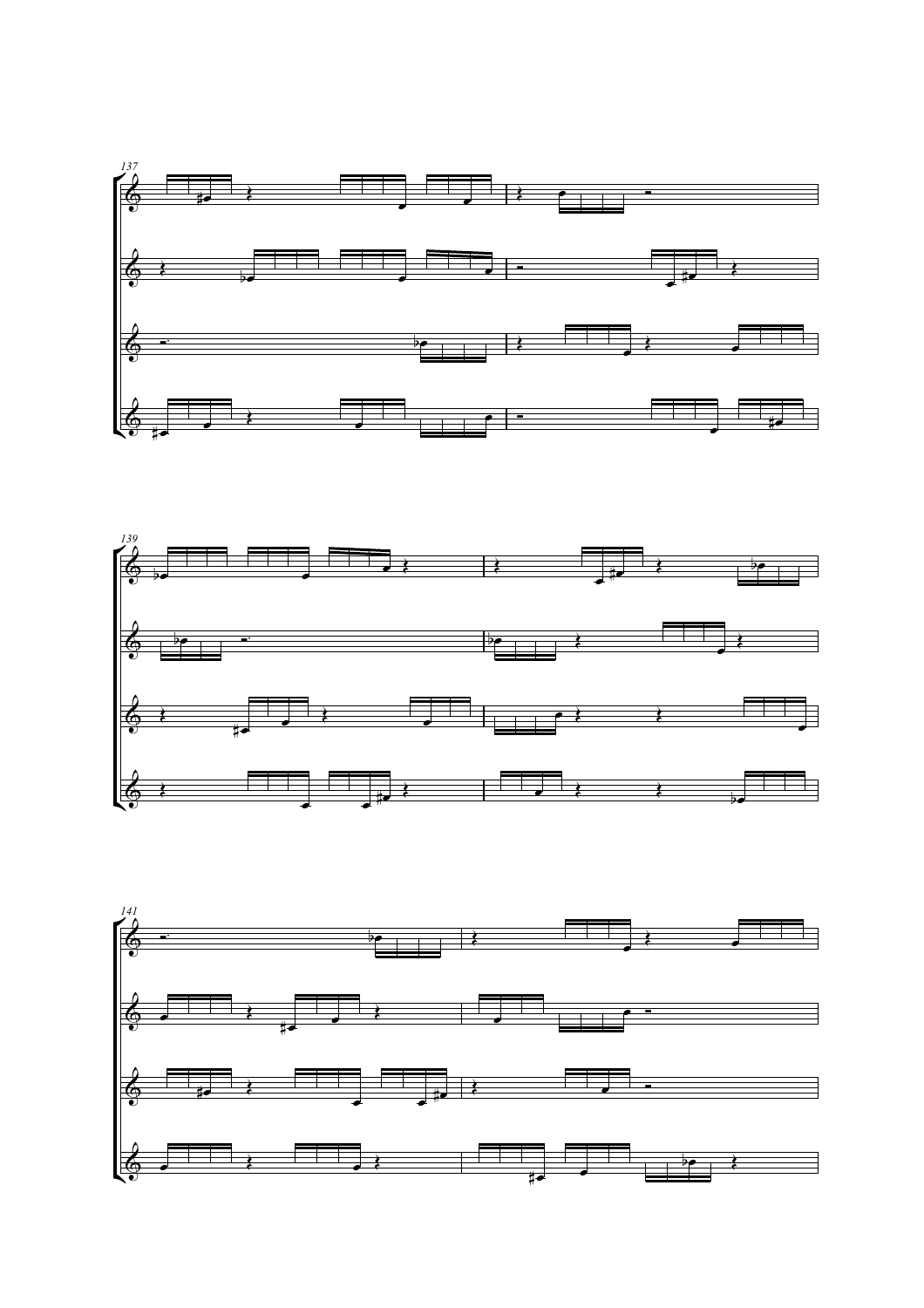



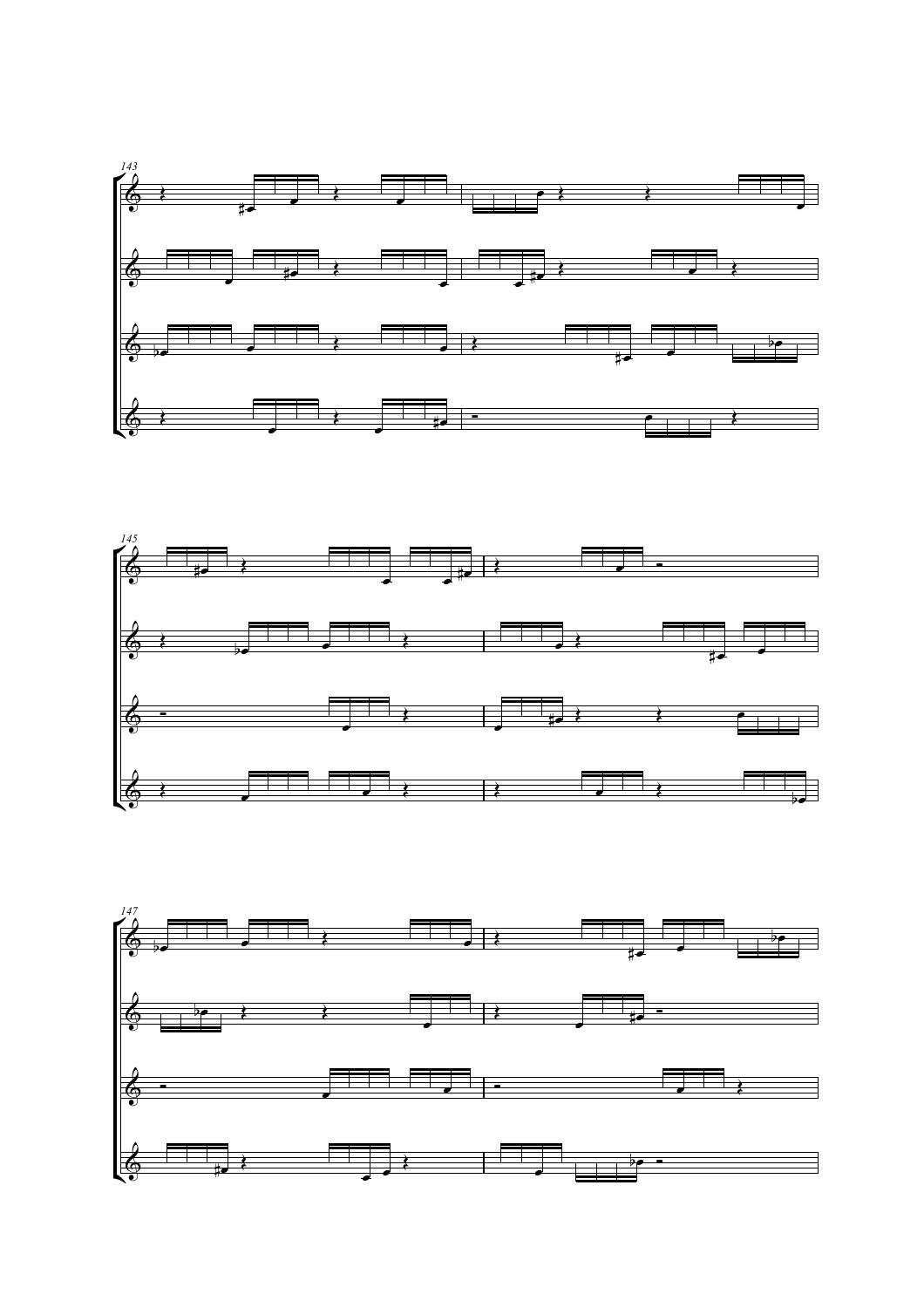



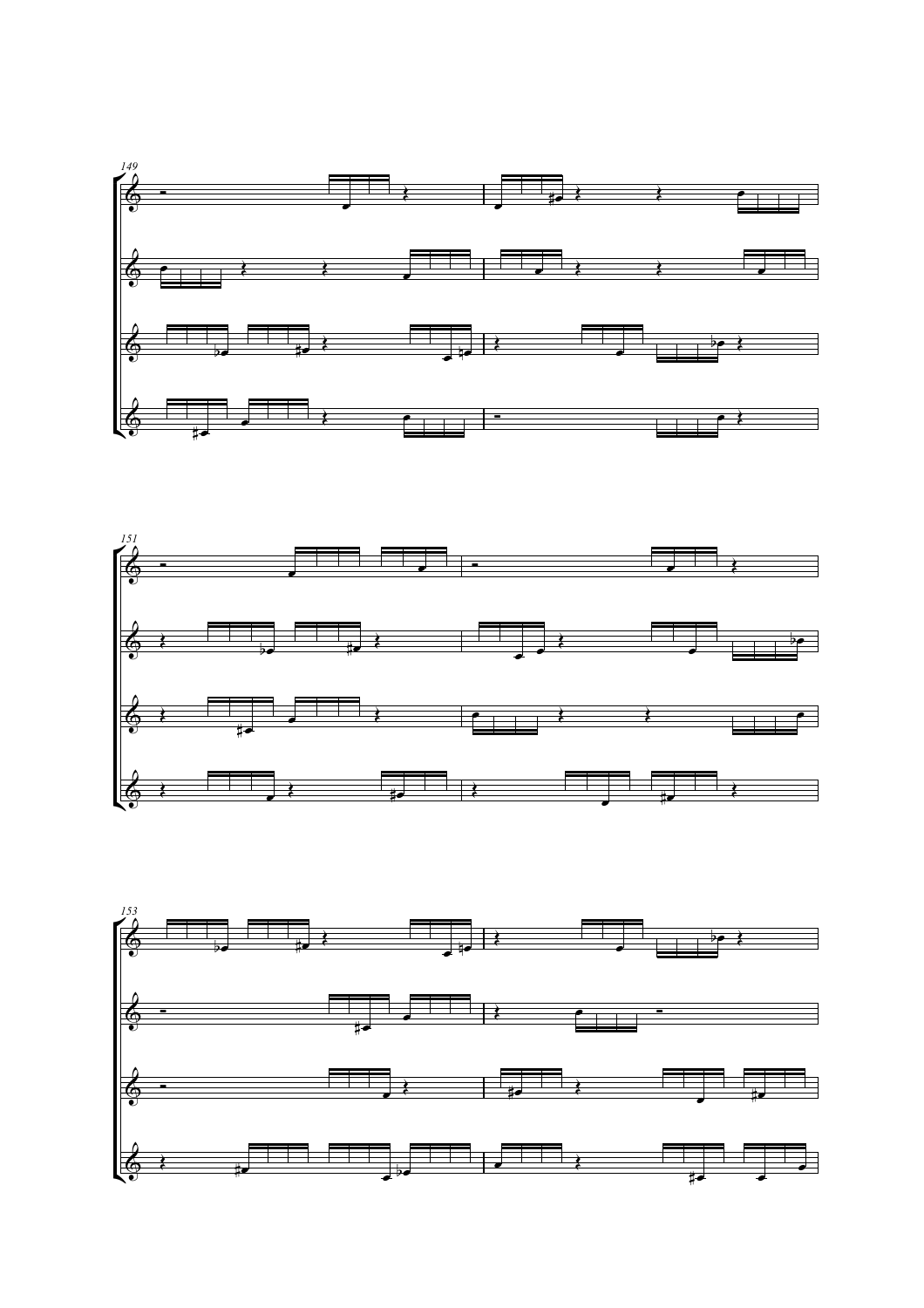



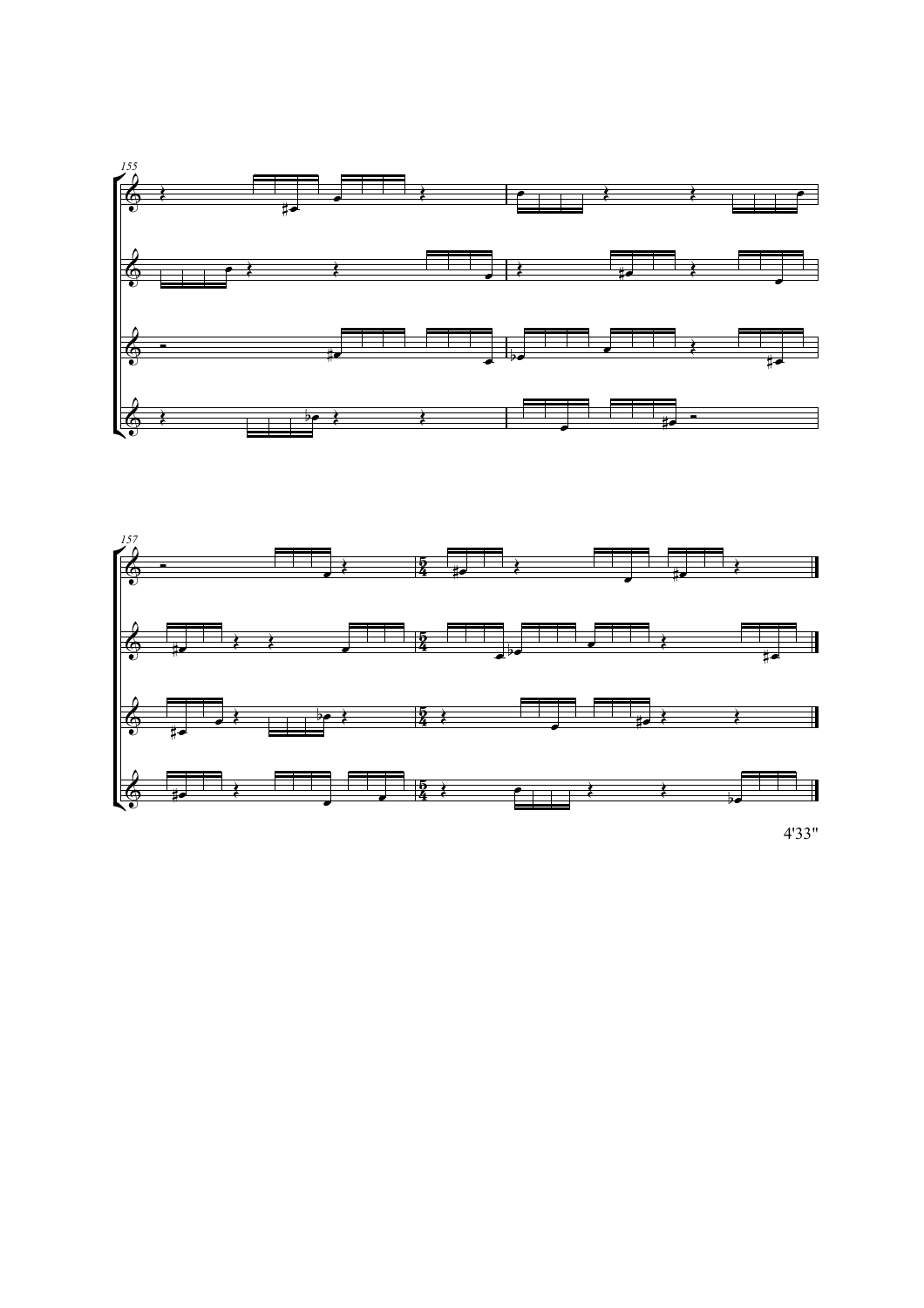



 $4'33''$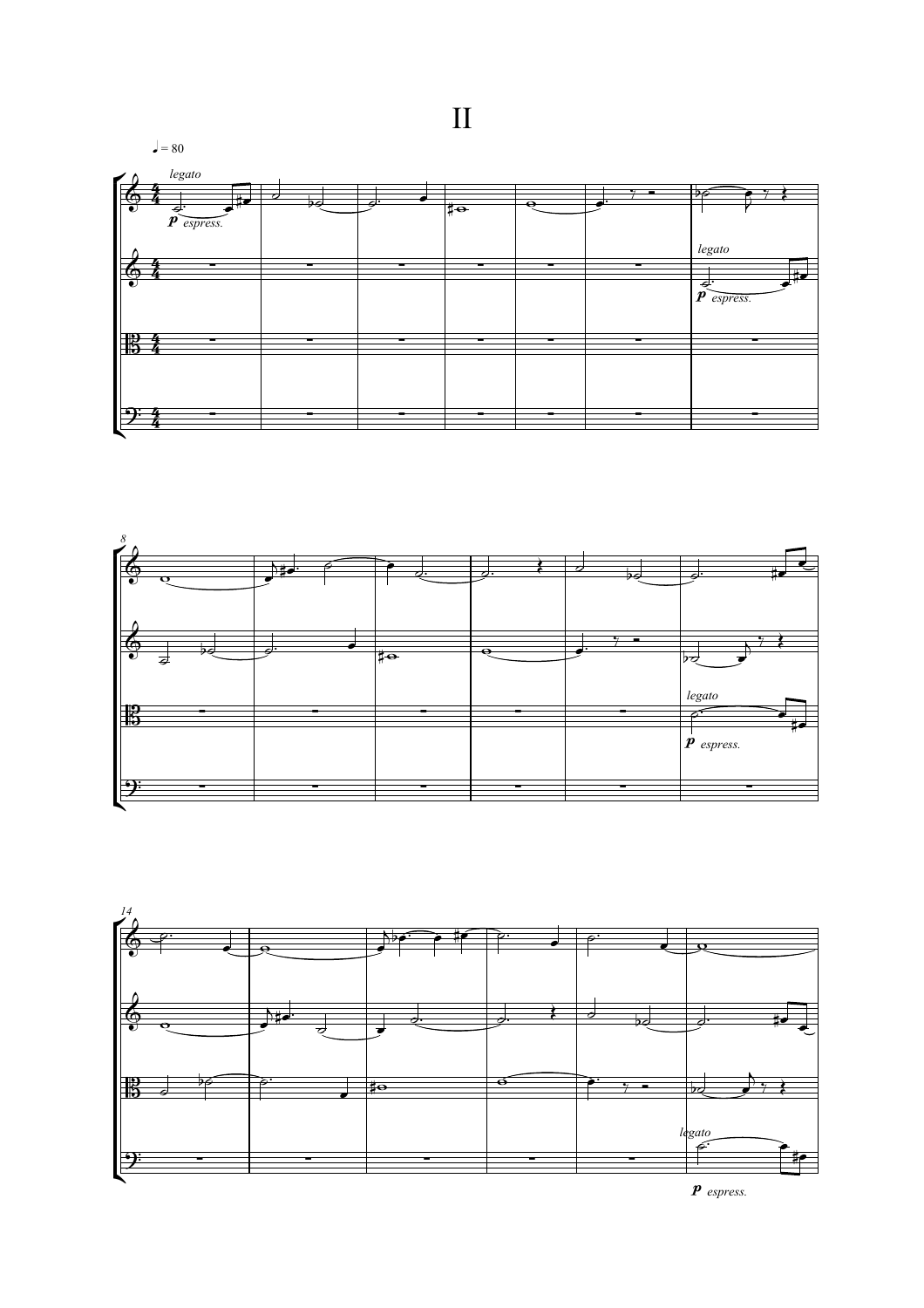

 $\bar{\rm II}$ 





 $\boldsymbol{p}$  espress.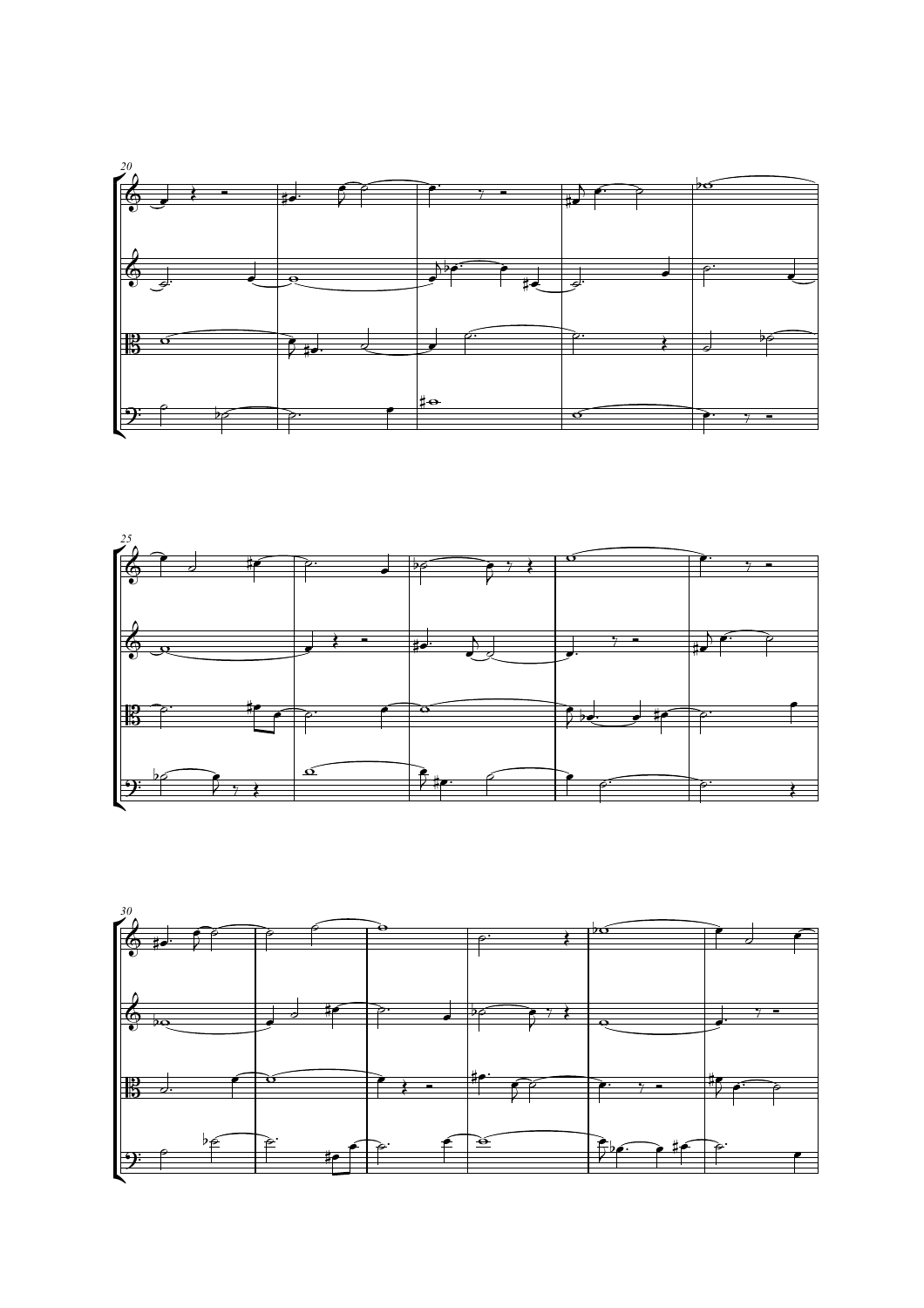



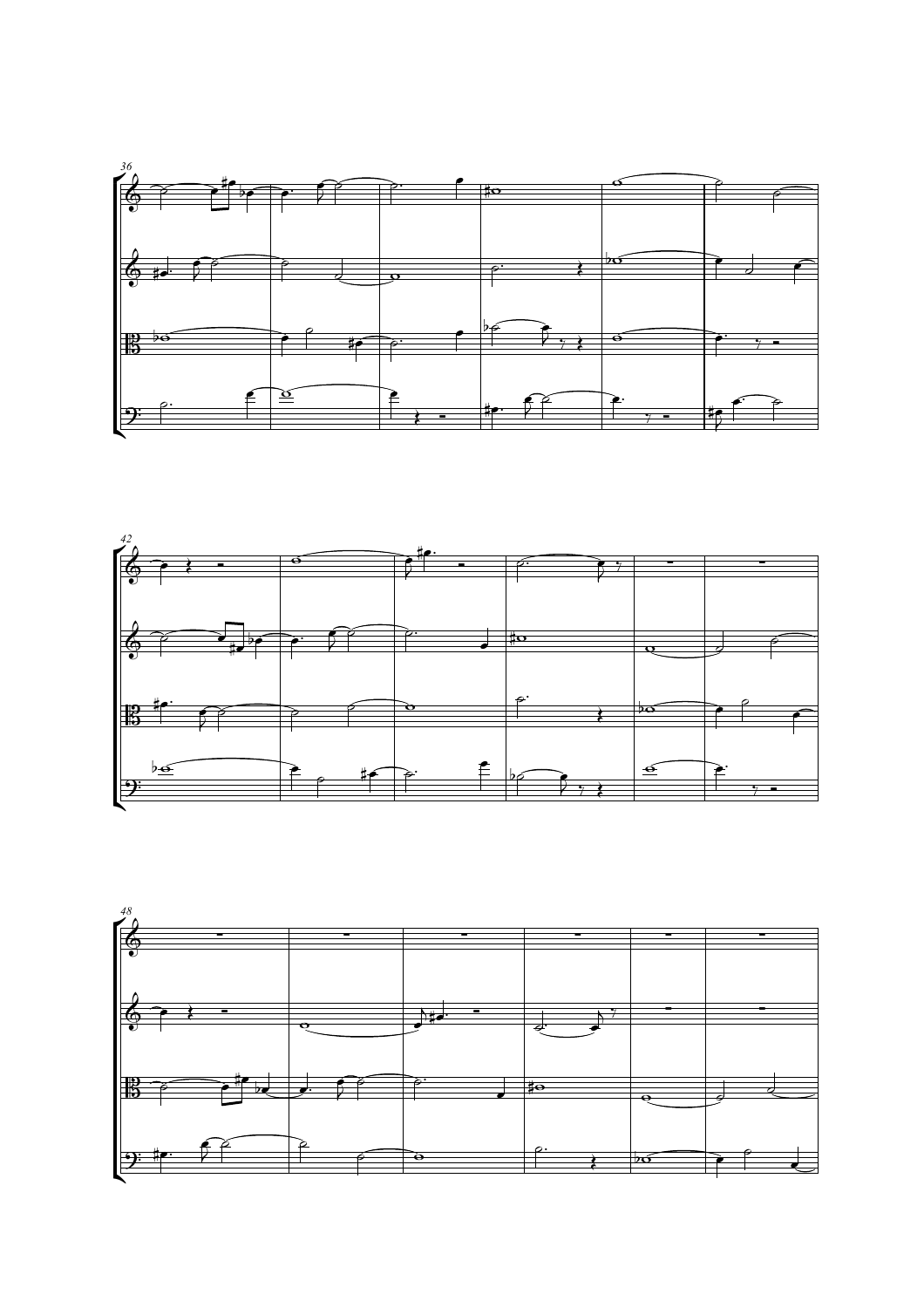



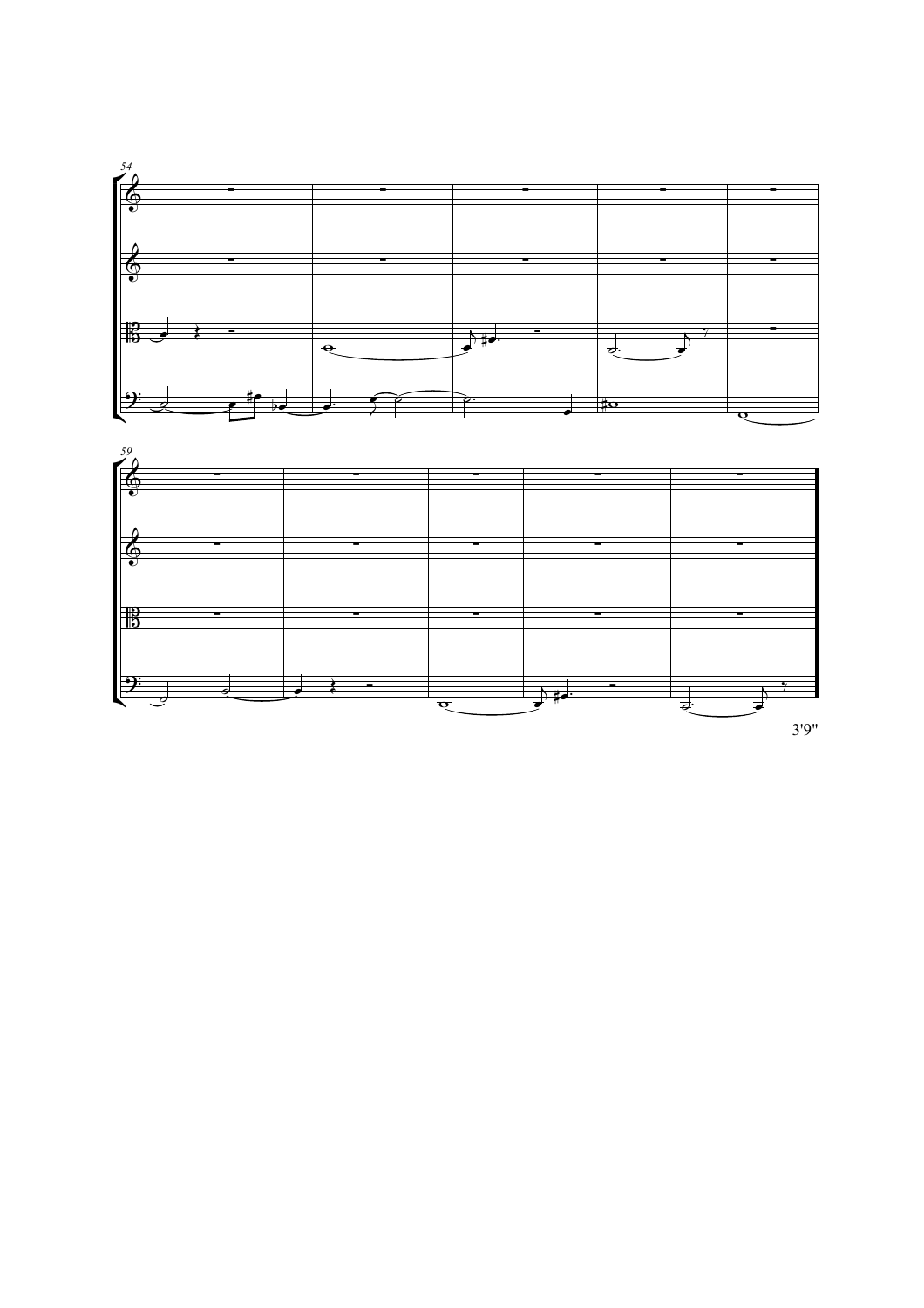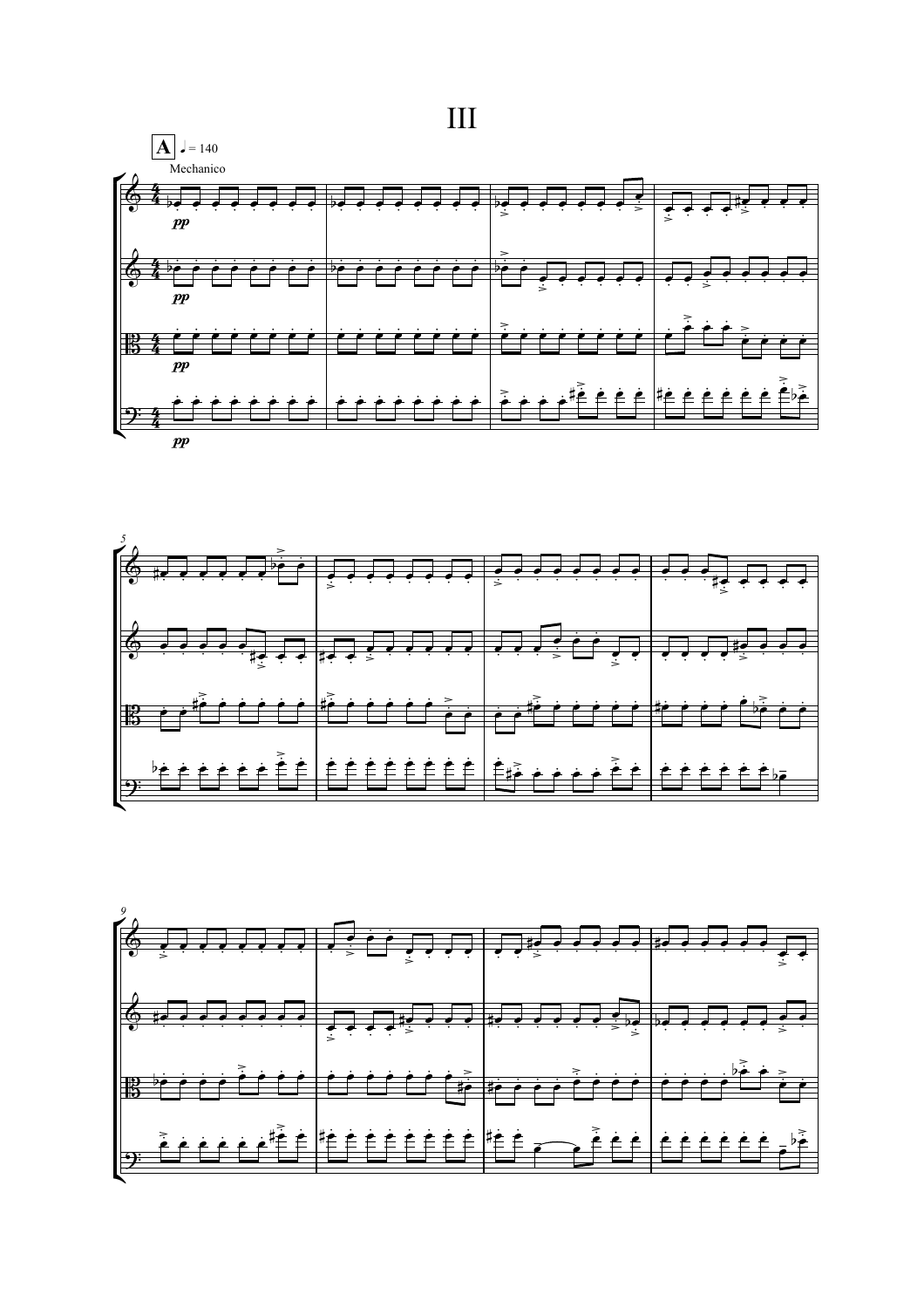





 $III$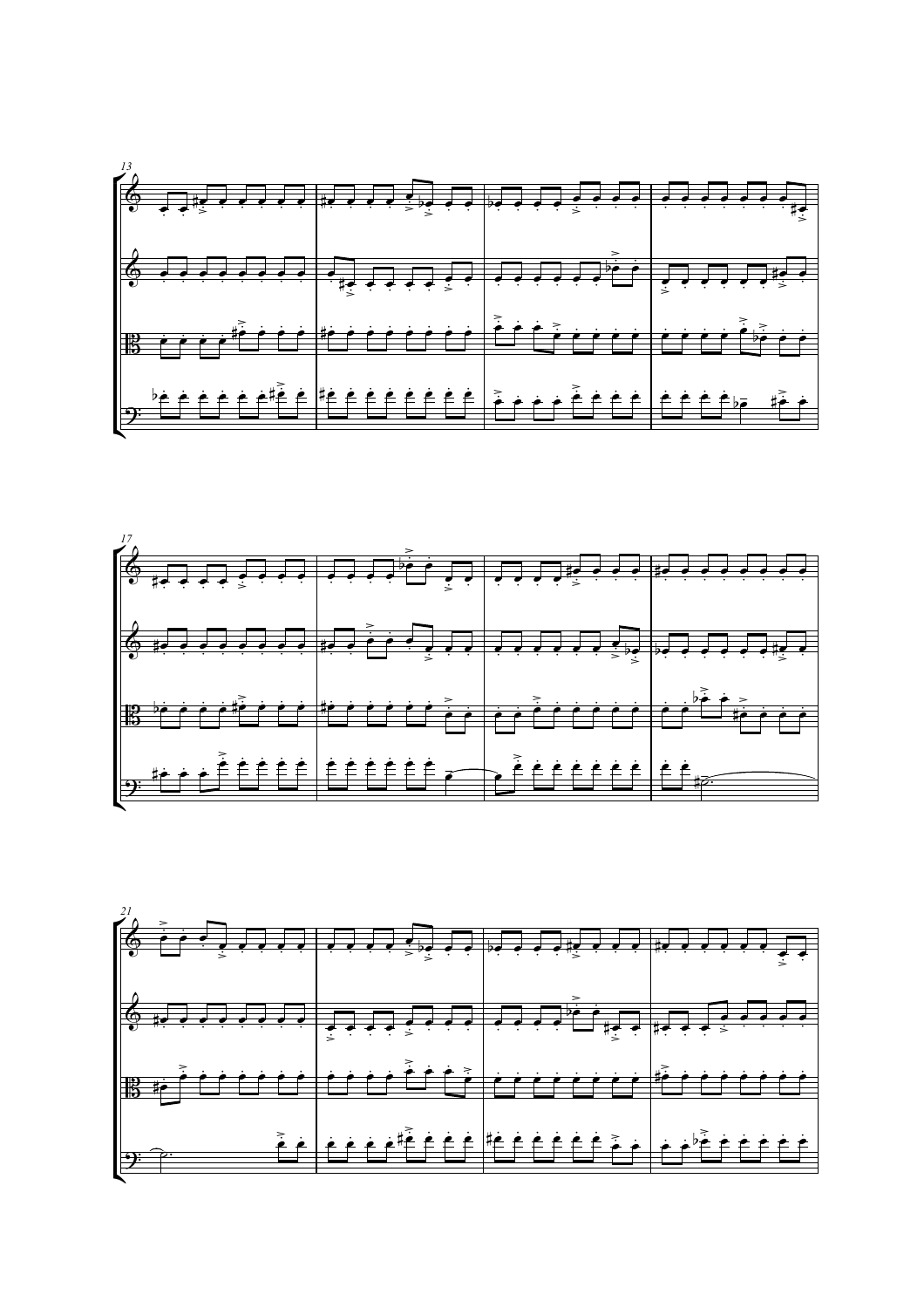



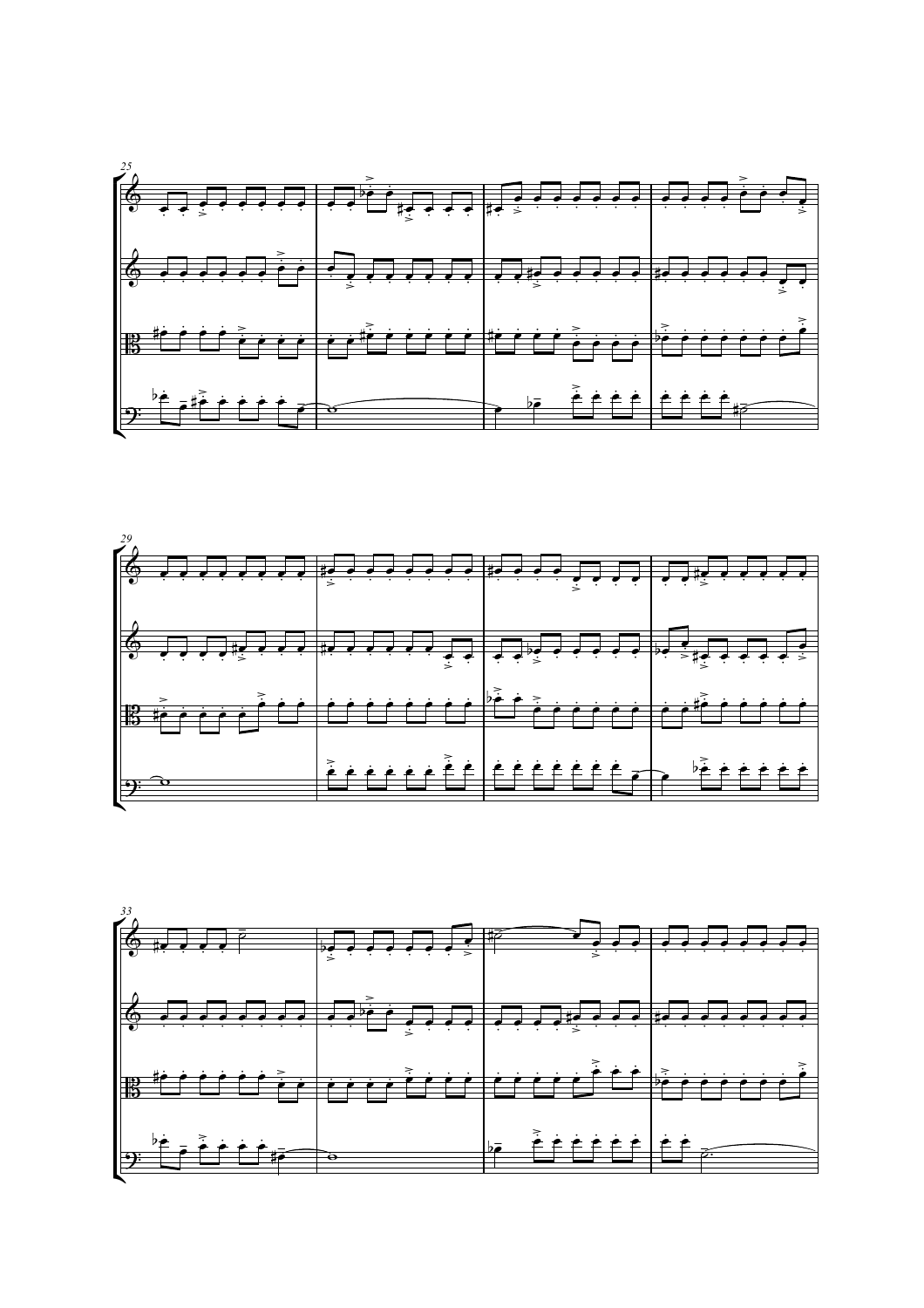



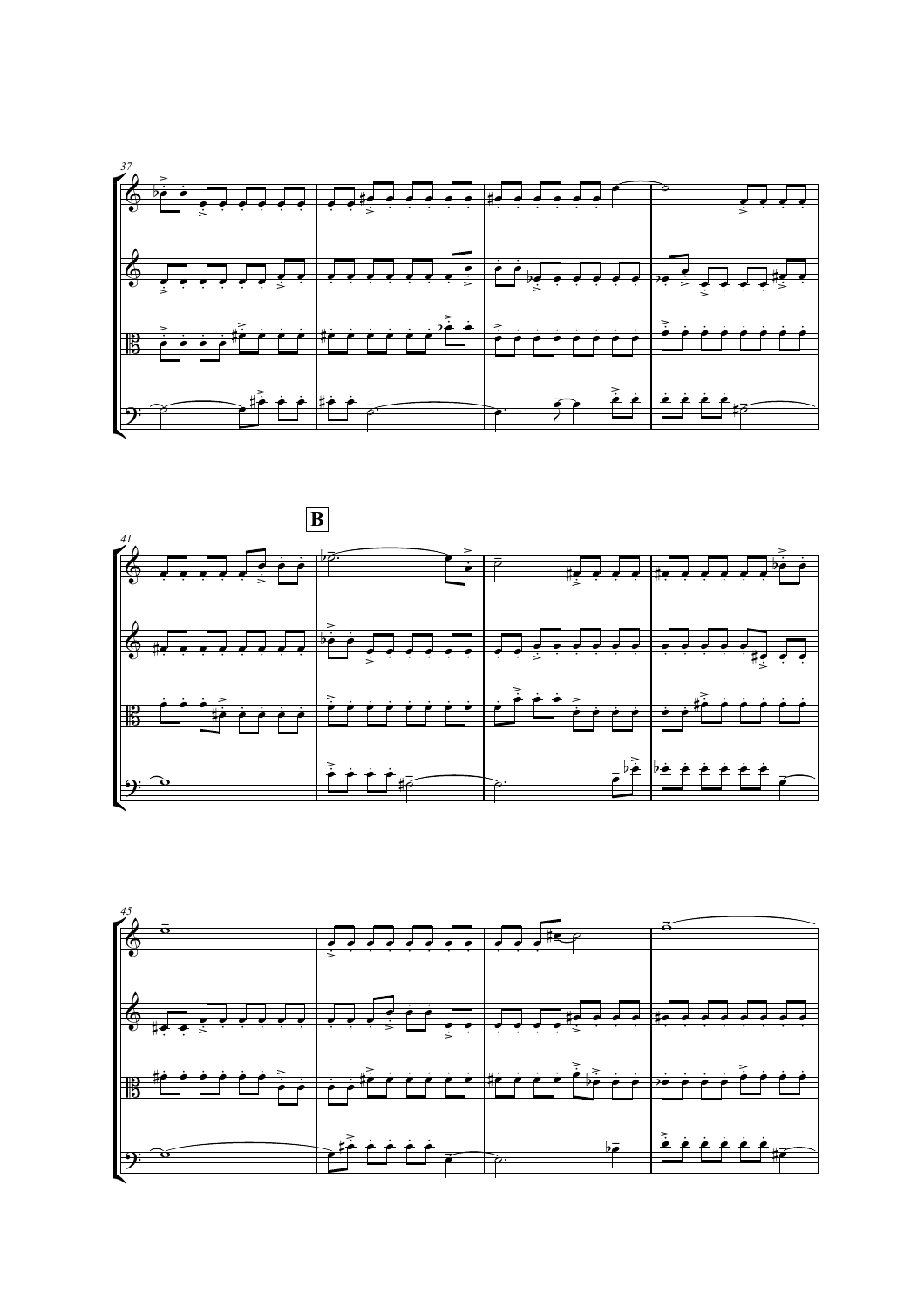



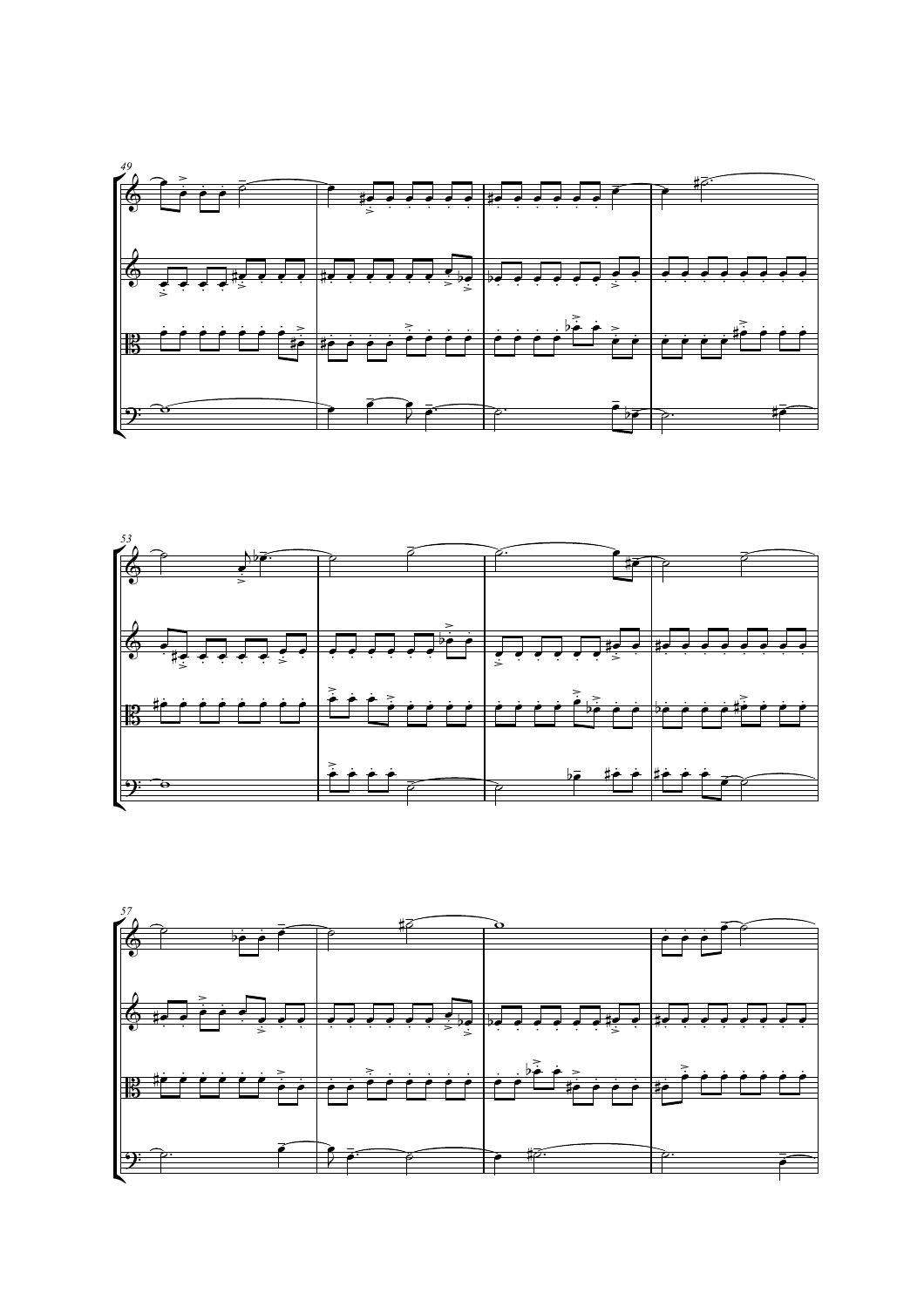



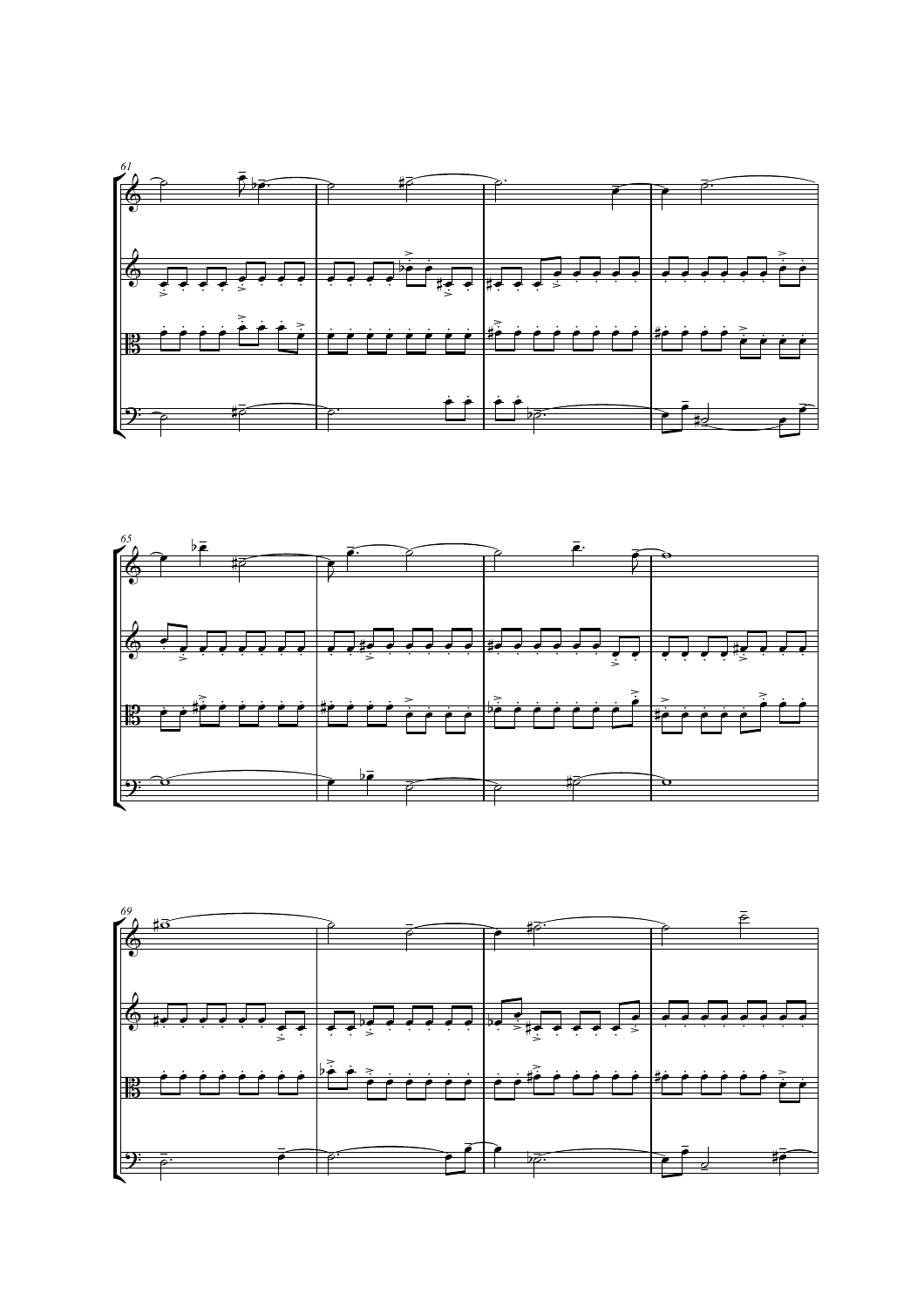



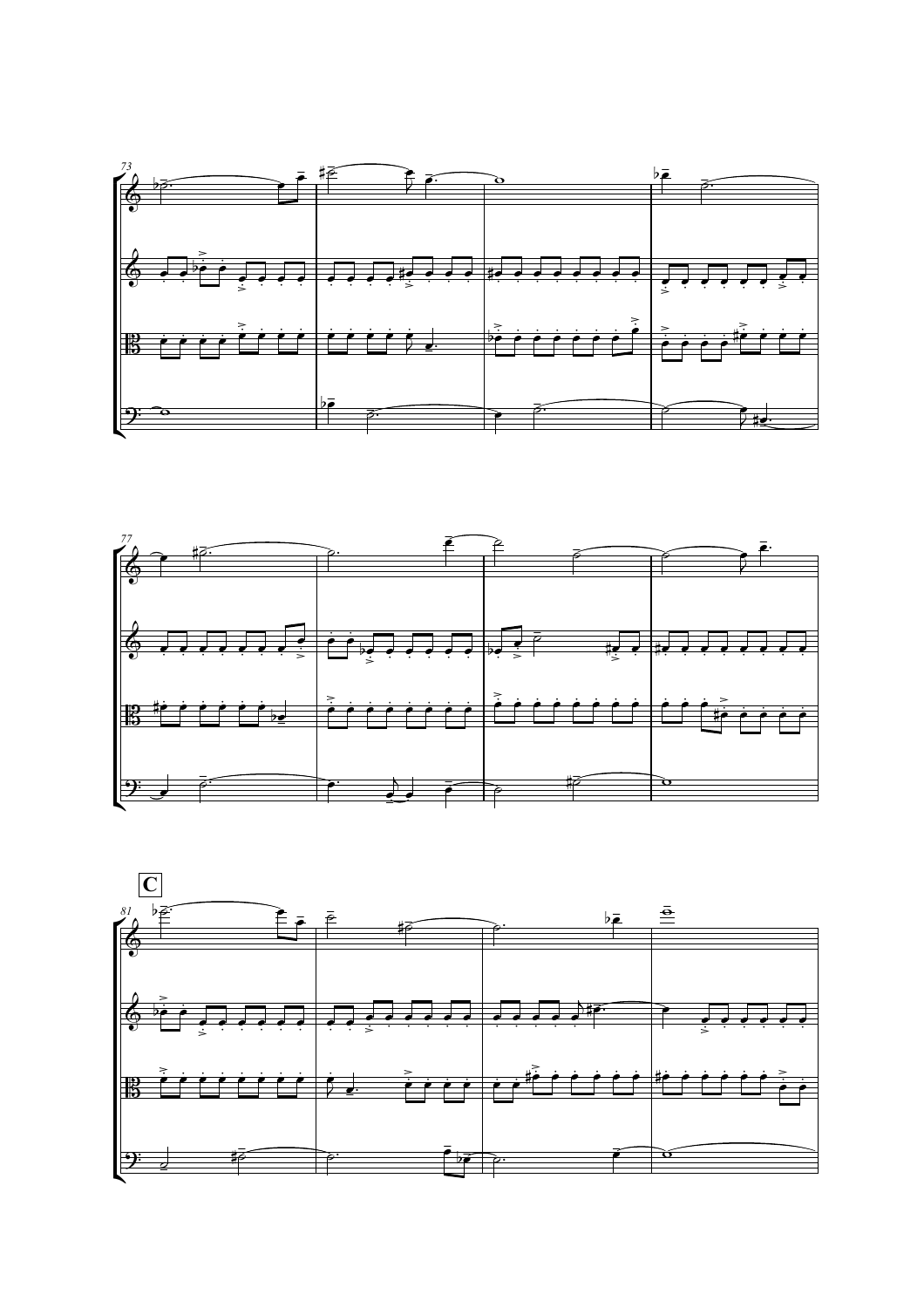



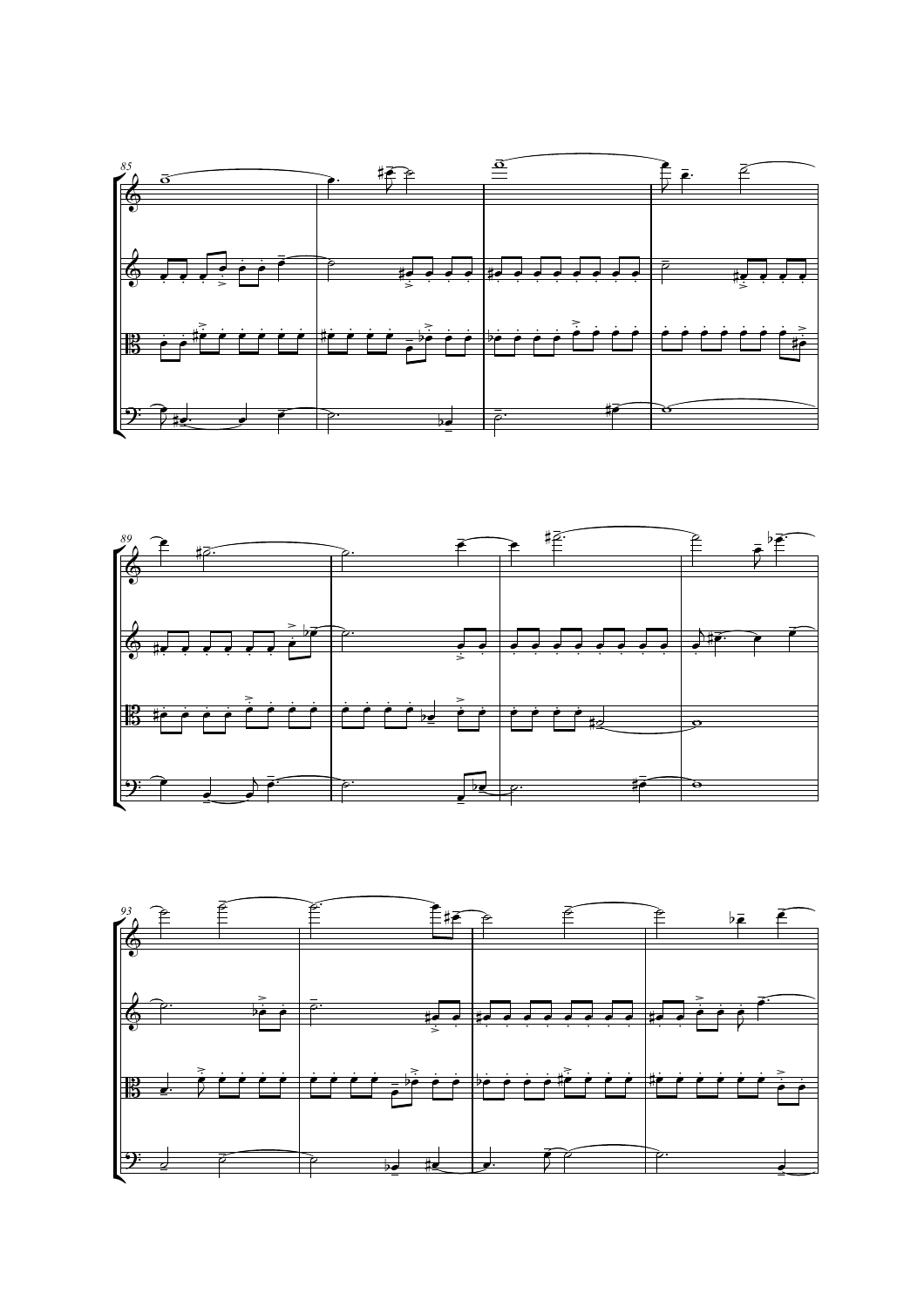



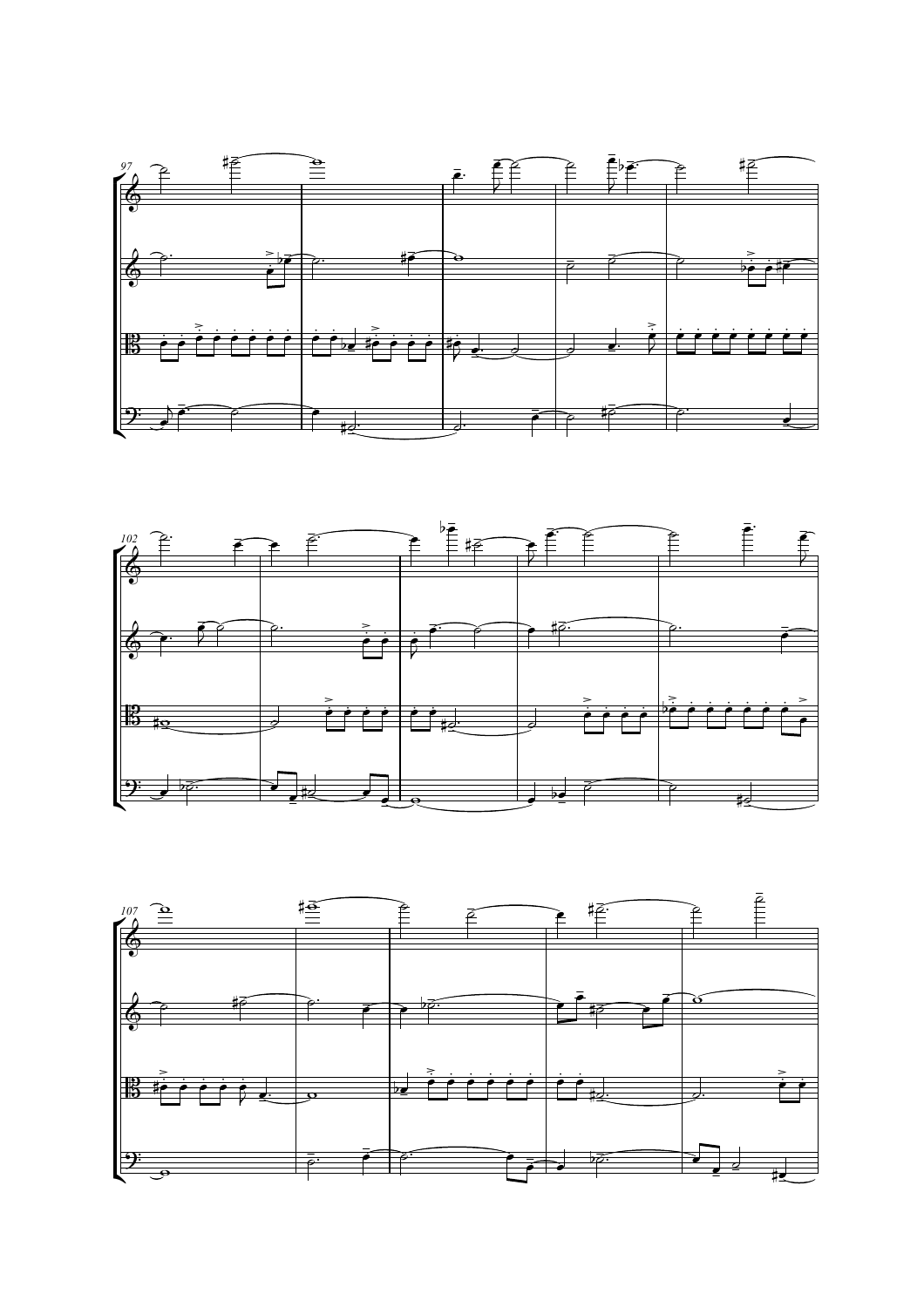



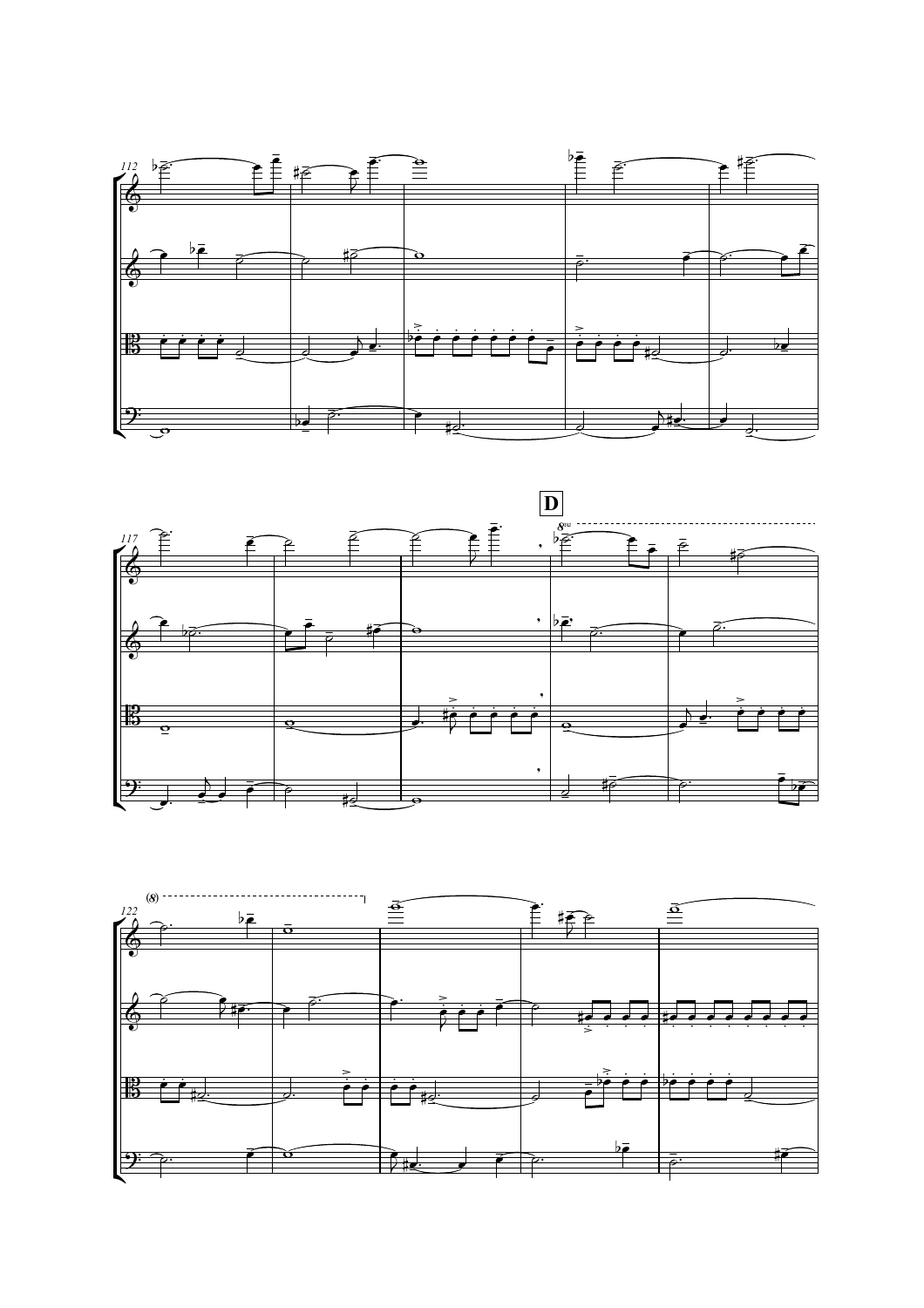



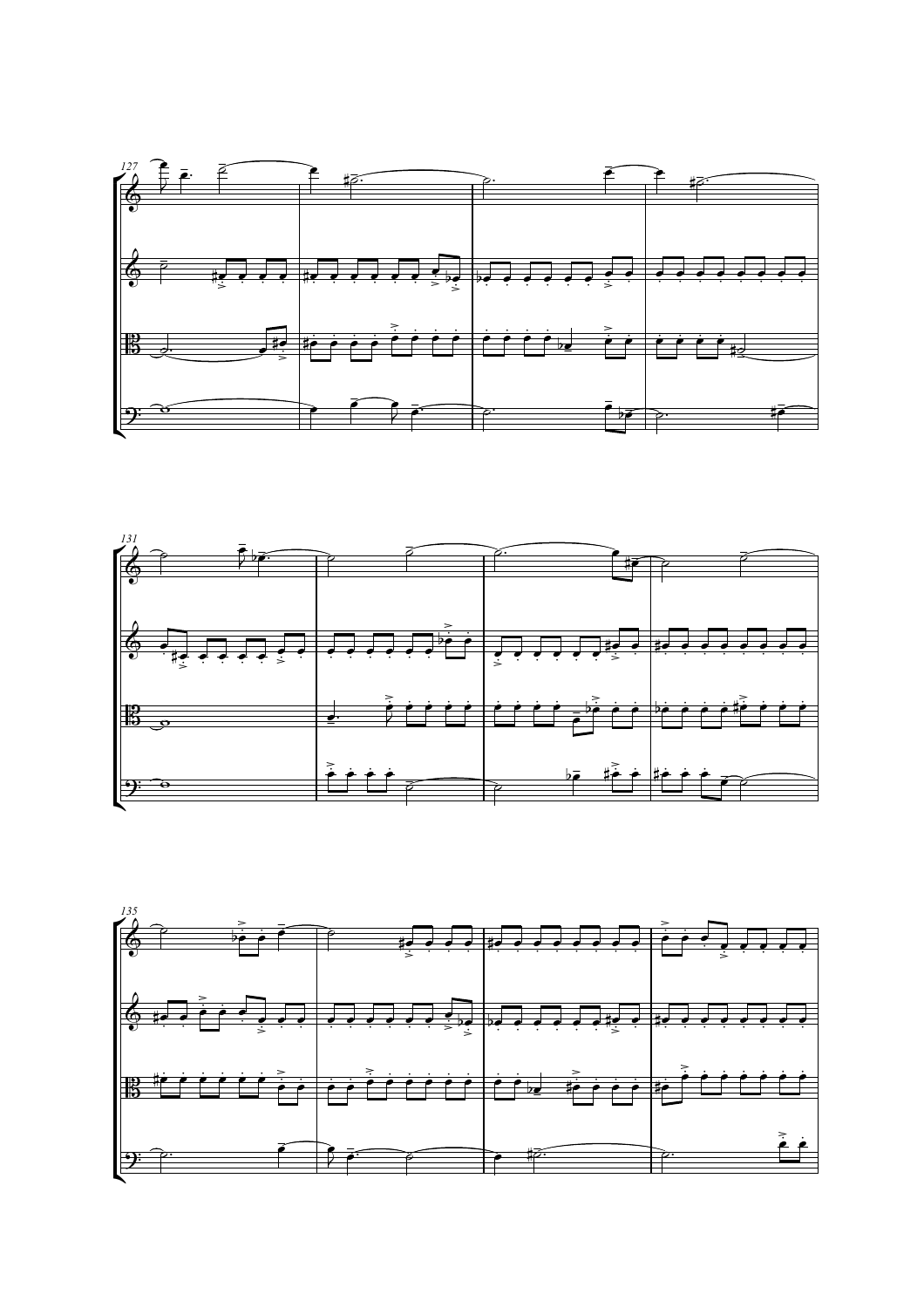



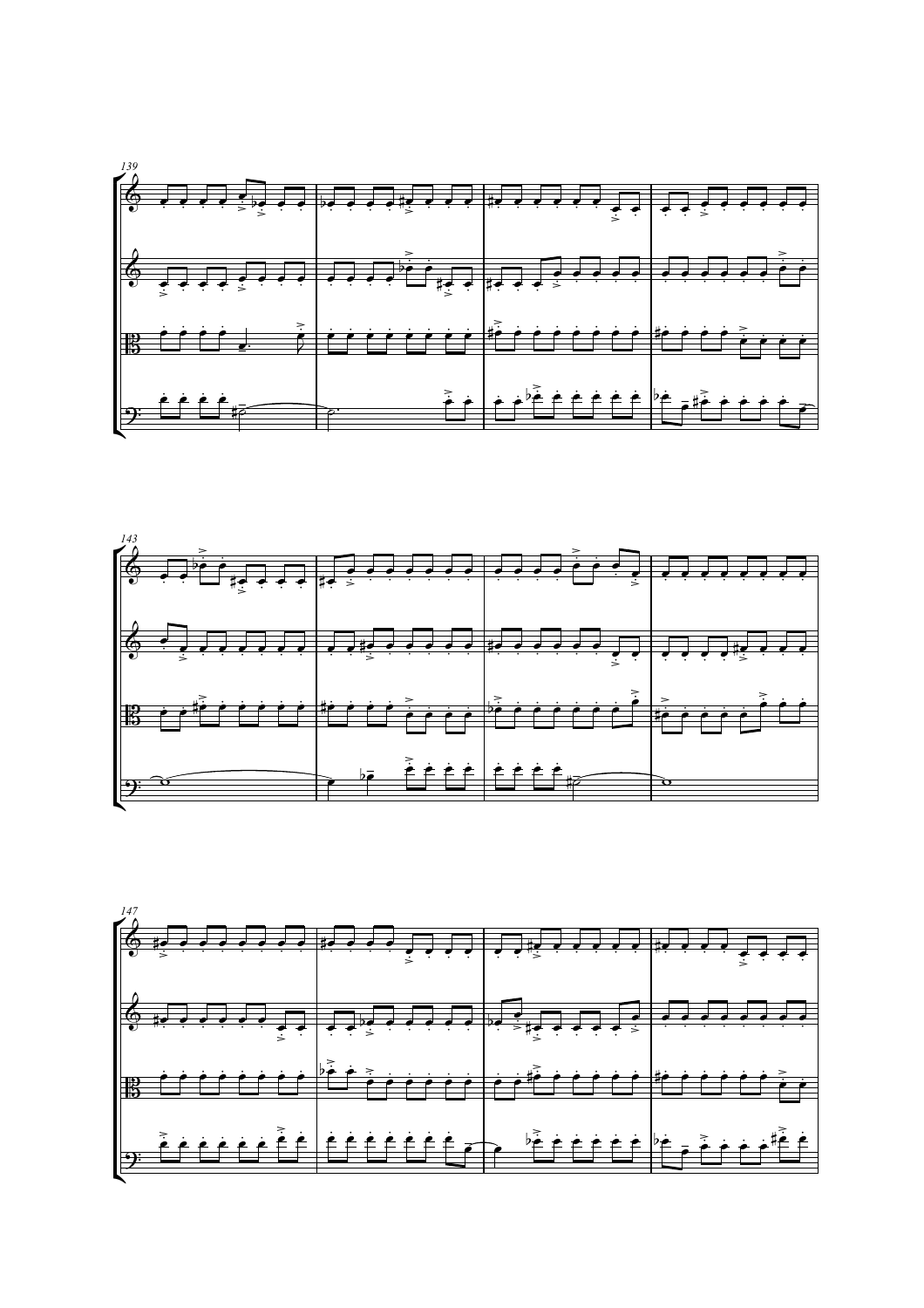